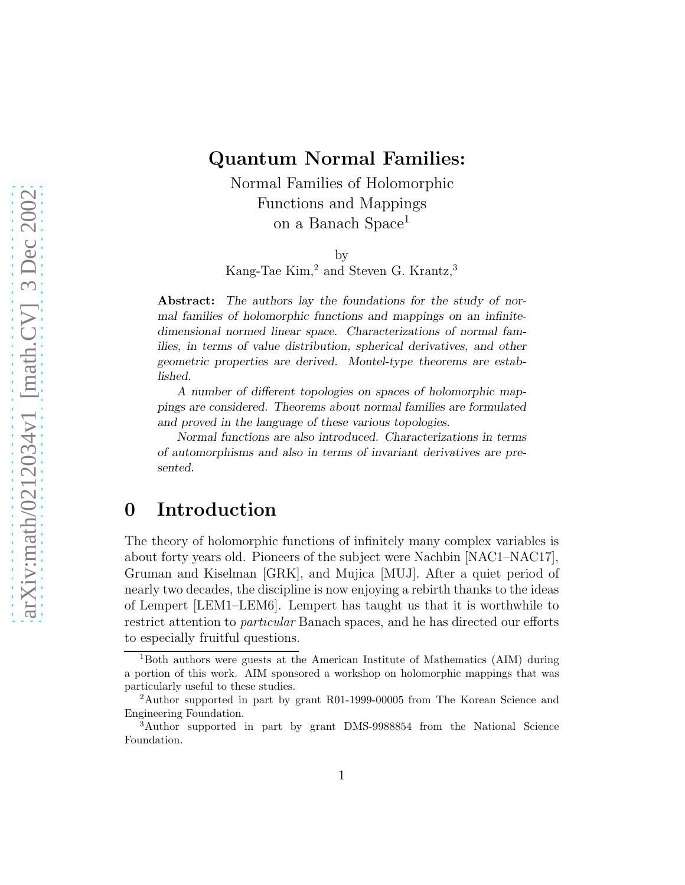### Quantum Normal Families:

Normal Families of Holomorphic Functions and Mappings on a Banach Space<sup>1</sup>

by

Kang-Tae Kim,<sup>2</sup> and Steven G. Krantz,<sup>3</sup>

Abstract: The authors lay the foundations for the study of normal families of holomorphic functions and mappings on an infinitedimensional normed linear space. Characterizations of normal families, in terms of value distribution, spherical derivatives, and other geometric properties are derived. Montel-type theorems are established.

A number of different topologies on spaces of holomorphic mappings are considered. Theorems about normal families are formulated and proved in the language of these various topologies.

Normal functions are also introduced. Characterizations in terms of automorphisms and also in terms of invariant derivatives are presented.

## 0 Introduction

The theory of holomorphic functions of infinitely many complex variables is about forty years old. Pioneers of the subject were Nachbin [NAC1–NAC17], Gruman and Kiselman [GRK], and Mujica [MUJ]. After a quiet period of nearly two decades, the discipline is now enjoying a rebirth thanks to the ideas of Lempert [LEM1–LEM6]. Lempert has taught us that it is worthwhile to restrict attention to particular Banach spaces, and he has directed our efforts to especially fruitful questions.

<sup>1</sup>Both authors were guests at the American Institute of Mathematics (AIM) during a portion of this work. AIM sponsored a workshop on holomorphic mappings that was particularly useful to these studies.

<sup>2</sup>Author supported in part by grant R01-1999-00005 from The Korean Science and Engineering Foundation.

<sup>3</sup>Author supported in part by grant DMS-9988854 from the National Science Foundation.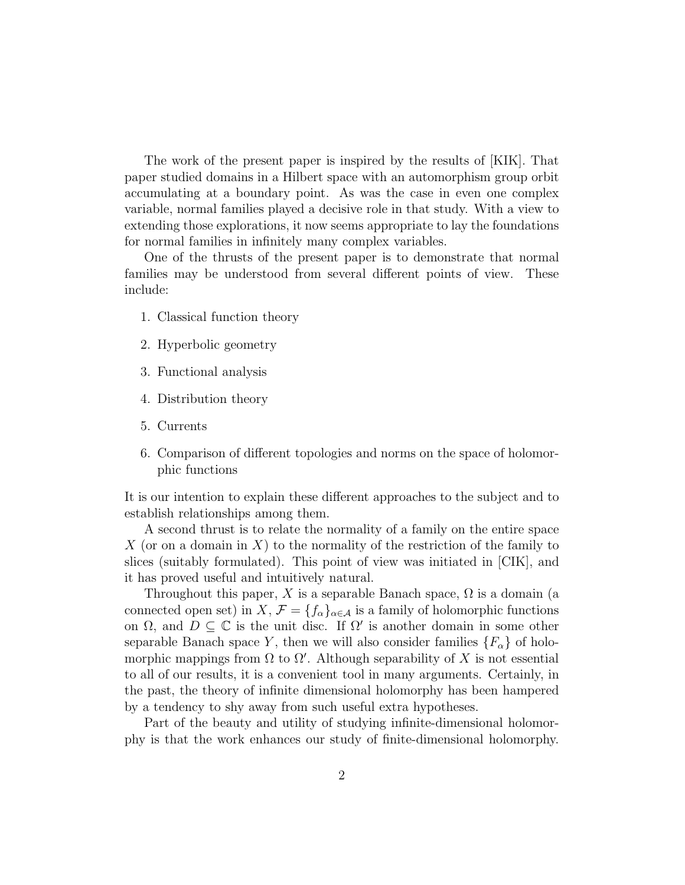The work of the present paper is inspired by the results of [KIK]. That paper studied domains in a Hilbert space with an automorphism group orbit accumulating at a boundary point. As was the case in even one complex variable, normal families played a decisive role in that study. With a view to extending those explorations, it now seems appropriate to lay the foundations for normal families in infinitely many complex variables.

One of the thrusts of the present paper is to demonstrate that normal families may be understood from several different points of view. These include:

- 1. Classical function theory
- 2. Hyperbolic geometry
- 3. Functional analysis
- 4. Distribution theory
- 5. Currents
- 6. Comparison of different topologies and norms on the space of holomorphic functions

It is our intention to explain these different approaches to the subject and to establish relationships among them.

A second thrust is to relate the normality of a family on the entire space X (or on a domain in X) to the normality of the restriction of the family to slices (suitably formulated). This point of view was initiated in [CIK], and it has proved useful and intuitively natural.

Throughout this paper, X is a separable Banach space,  $\Omega$  is a domain (a connected open set) in  $X, \mathcal{F} = \{f_{\alpha}\}_{{\alpha \in \mathcal{A}}}$  is a family of holomorphic functions on  $\Omega$ , and  $D \subseteq \mathbb{C}$  is the unit disc. If  $\Omega'$  is another domain in some other separable Banach space Y, then we will also consider families  $\{F_{\alpha}\}\$  of holomorphic mappings from  $\Omega$  to  $\Omega'$ . Although separability of X is not essential to all of our results, it is a convenient tool in many arguments. Certainly, in the past, the theory of infinite dimensional holomorphy has been hampered by a tendency to shy away from such useful extra hypotheses.

Part of the beauty and utility of studying infinite-dimensional holomorphy is that the work enhances our study of finite-dimensional holomorphy.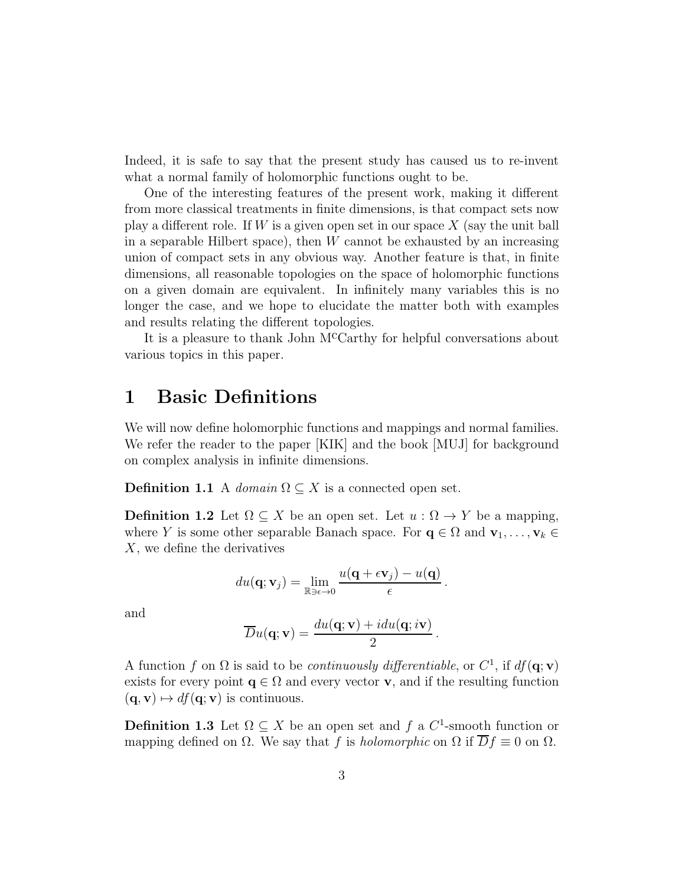Indeed, it is safe to say that the present study has caused us to re-invent what a normal family of holomorphic functions ought to be.

One of the interesting features of the present work, making it different from more classical treatments in finite dimensions, is that compact sets now play a different role. If W is a given open set in our space  $X$  (say the unit ball in a separable Hilbert space), then  $W$  cannot be exhausted by an increasing union of compact sets in any obvious way. Another feature is that, in finite dimensions, all reasonable topologies on the space of holomorphic functions on a given domain are equivalent. In infinitely many variables this is no longer the case, and we hope to elucidate the matter both with examples and results relating the different topologies.

It is a pleasure to thank John McCarthy for helpful conversations about various topics in this paper.

## 1 Basic Definitions

We will now define holomorphic functions and mappings and normal families. We refer the reader to the paper [KIK] and the book [MUJ] for background on complex analysis in infinite dimensions.

**Definition 1.1** A domain  $\Omega \subseteq X$  is a connected open set.

**Definition 1.2** Let  $\Omega \subseteq X$  be an open set. Let  $u : \Omega \to Y$  be a mapping, where Y is some other separable Banach space. For  $\mathbf{q} \in \Omega$  and  $\mathbf{v}_1, \ldots, \mathbf{v}_k \in$ X, we define the derivatives

$$
du(\mathbf{q}; \mathbf{v}_j) = \lim_{\mathbb{R} \ni \epsilon \to 0} \frac{u(\mathbf{q} + \epsilon \mathbf{v}_j) - u(\mathbf{q})}{\epsilon}.
$$

and

$$
\overline{D}u(\mathbf{q};\mathbf{v}) = \frac{du(\mathbf{q};\mathbf{v}) + idu(\mathbf{q};i\mathbf{v})}{2}.
$$

A function f on  $\Omega$  is said to be *continuously differentiable*, or  $C^1$ , if  $df(\mathbf{q}; \mathbf{v})$ exists for every point  $q \in \Omega$  and every vector **v**, and if the resulting function  $({\bf q},{\bf v}) \mapsto df({\bf q};{\bf v})$  is continuous.

**Definition 1.3** Let  $\Omega \subseteq X$  be an open set and f a  $C^1$ -smooth function or mapping defined on  $\Omega$ . We say that f is holomorphic on  $\Omega$  if  $\overline{D}f \equiv 0$  on  $\Omega$ .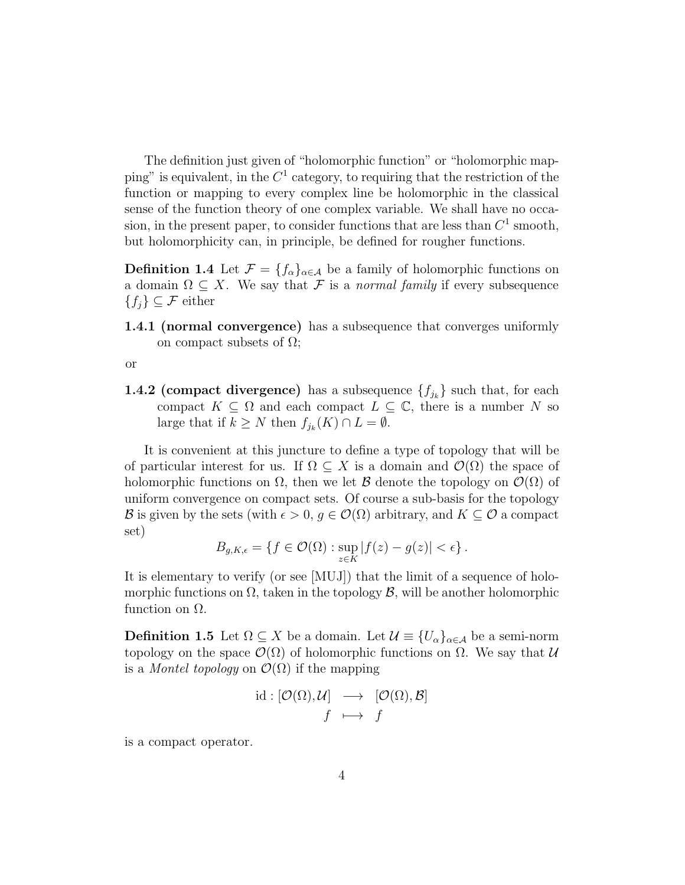The definition just given of "holomorphic function" or "holomorphic mapping" is equivalent, in the  $C^1$  category, to requiring that the restriction of the function or mapping to every complex line be holomorphic in the classical sense of the function theory of one complex variable. We shall have no occasion, in the present paper, to consider functions that are less than  $C^1$  smooth, but holomorphicity can, in principle, be defined for rougher functions.

**Definition 1.4** Let  $\mathcal{F} = \{f_{\alpha}\}_{{\alpha \in \mathcal{A}}}$  be a family of holomorphic functions on a domain  $\Omega \subseteq X$ . We say that F is a normal family if every subsequence  ${f_i} \subseteq \mathcal{F}$  either

1.4.1 (normal convergence) has a subsequence that converges uniformly on compact subsets of  $\Omega$ ;

or

**1.4.2 (compact divergence)** has a subsequence  $\{f_{j_k}\}\$  such that, for each compact  $K \subseteq \Omega$  and each compact  $L \subseteq \mathbb{C}$ , there is a number N so large that if  $k \geq N$  then  $f_{j_k}(K) \cap L = \emptyset$ .

It is convenient at this juncture to define a type of topology that will be of particular interest for us. If  $\Omega \subseteq X$  is a domain and  $\mathcal{O}(\Omega)$  the space of holomorphic functions on  $\Omega$ , then we let B denote the topology on  $\mathcal{O}(\Omega)$  of uniform convergence on compact sets. Of course a sub-basis for the topology B is given by the sets (with  $\epsilon > 0$ ,  $q \in \mathcal{O}(\Omega)$  arbitrary, and  $K \subseteq \mathcal{O}$  a compact set)

$$
B_{g,K,\epsilon} = \{ f \in \mathcal{O}(\Omega) : \sup_{z \in K} |f(z) - g(z)| < \epsilon \}.
$$

It is elementary to verify (or see [MUJ]) that the limit of a sequence of holomorphic functions on  $\Omega$ , taken in the topology  $\mathcal{B}$ , will be another holomorphic function on  $Ω$ .

**Definition 1.5** Let  $\Omega \subseteq X$  be a domain. Let  $\mathcal{U} \equiv \{U_{\alpha}\}_{{\alpha \in \mathcal{A}}}$  be a semi-norm topology on the space  $\mathcal{O}(\Omega)$  of holomorphic functions on  $\Omega$ . We say that  $\mathcal U$ is a *Montel topology* on  $\mathcal{O}(\Omega)$  if the mapping

$$
\text{id} : [\mathcal{O}(\Omega), \mathcal{U}] \longrightarrow [\mathcal{O}(\Omega), \mathcal{B}]
$$

$$
f \longmapsto f
$$

is a compact operator.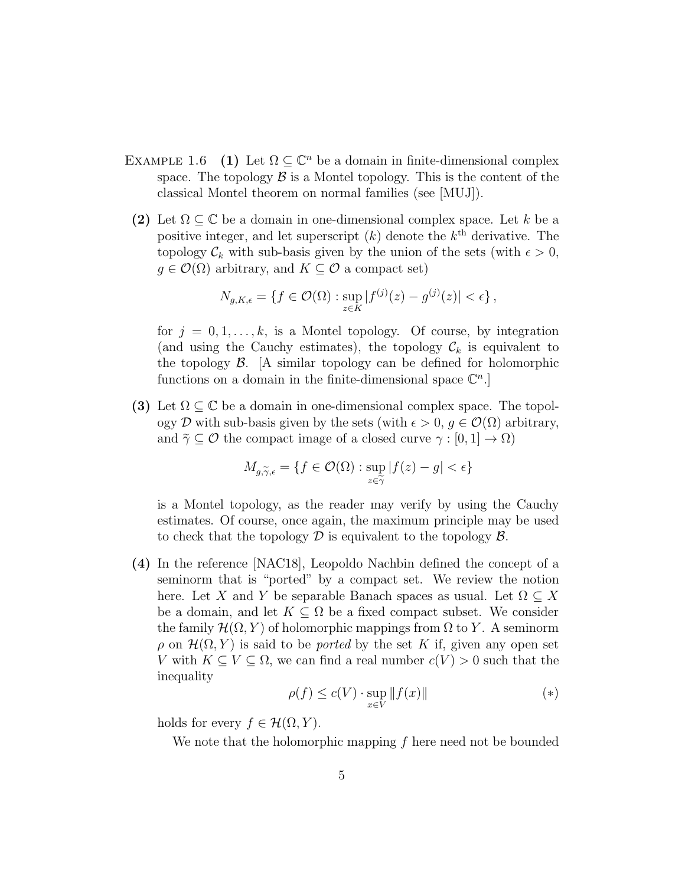- EXAMPLE 1.6 (1) Let  $\Omega \subseteq \mathbb{C}^n$  be a domain in finite-dimensional complex space. The topology  $\beta$  is a Montel topology. This is the content of the classical Montel theorem on normal families (see [MUJ]).
- (2) Let  $\Omega \subseteq \mathbb{C}$  be a domain in one-dimensional complex space. Let k be a positive integer, and let superscript  $(k)$  denote the  $k<sup>th</sup>$  derivative. The topology  $\mathcal{C}_k$  with sub-basis given by the union of the sets (with  $\epsilon > 0$ ,  $g \in \mathcal{O}(\Omega)$  arbitrary, and  $K \subseteq \mathcal{O}$  a compact set)

$$
N_{g,K,\epsilon} = \{ f \in \mathcal{O}(\Omega) : \sup_{z \in K} |f^{(j)}(z) - g^{(j)}(z)| < \epsilon \},
$$

for  $j = 0, 1, \ldots, k$ , is a Montel topology. Of course, by integration (and using the Cauchy estimates), the topology  $\mathcal{C}_k$  is equivalent to the topology  $\beta$ . [A similar topology can be defined for holomorphic functions on a domain in the finite-dimensional space  $\mathbb{C}^n$ .

(3) Let  $\Omega \subset \mathbb{C}$  be a domain in one-dimensional complex space. The topology D with sub-basis given by the sets (with  $\epsilon > 0$ ,  $q \in \mathcal{O}(\Omega)$  arbitrary, and  $\tilde{\gamma} \subset \mathcal{O}$  the compact image of a closed curve  $\gamma : [0, 1] \to \Omega$ )

$$
M_{g,\widetilde{\gamma},\epsilon} = \{ f \in \mathcal{O}(\Omega) : \sup_{z \in \widetilde{\gamma}} |f(z) - g| < \epsilon \}
$$

is a Montel topology, as the reader may verify by using the Cauchy estimates. Of course, once again, the maximum principle may be used to check that the topology  $\mathcal D$  is equivalent to the topology  $\mathcal B$ .

(4) In the reference [NAC18], Leopoldo Nachbin defined the concept of a seminorm that is "ported" by a compact set. We review the notion here. Let X and Y be separable Banach spaces as usual. Let  $\Omega \subseteq X$ be a domain, and let  $K \subseteq \Omega$  be a fixed compact subset. We consider the family  $\mathcal{H}(\Omega, Y)$  of holomorphic mappings from  $\Omega$  to Y. A seminorm  $\rho$  on  $\mathcal{H}(\Omega, Y)$  is said to be *ported* by the set K if, given any open set V with  $K \subseteq V \subseteq \Omega$ , we can find a real number  $c(V) > 0$  such that the inequality

$$
\rho(f) \le c(V) \cdot \sup_{x \in V} ||f(x)|| \tag{*}
$$

holds for every  $f \in \mathcal{H}(\Omega, Y)$ .

We note that the holomorphic mapping  $f$  here need not be bounded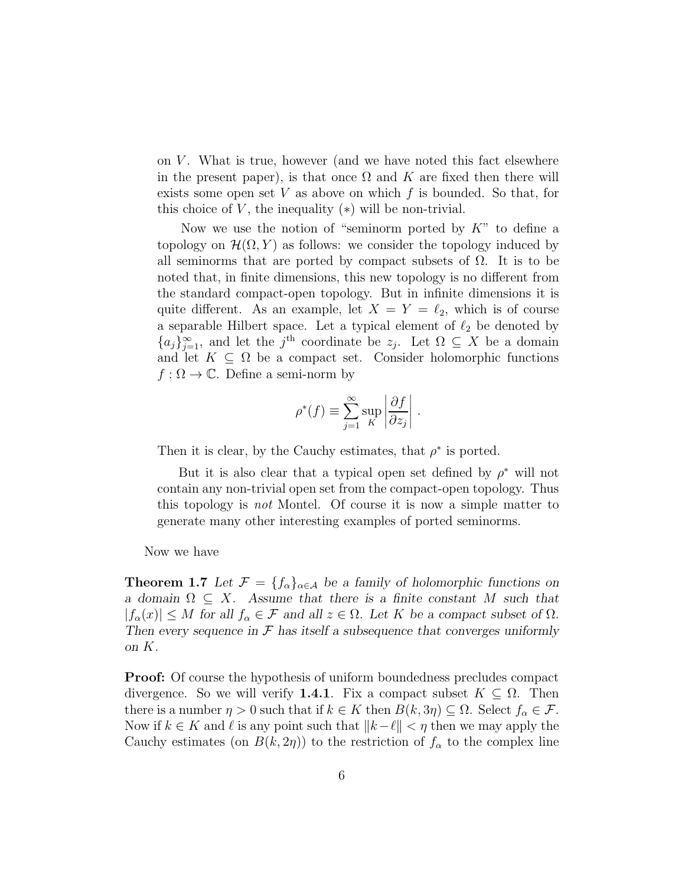on  $V$ . What is true, however (and we have noted this fact elsewhere in the present paper), is that once  $\Omega$  and K are fixed then there will exists some open set  $V$  as above on which  $f$  is bounded. So that, for this choice of  $V$ , the inequality  $(*)$  will be non-trivial.

Now we use the notion of "seminorm ported by  $K$ " to define a topology on  $\mathcal{H}(\Omega, Y)$  as follows: we consider the topology induced by all seminorms that are ported by compact subsets of  $\Omega$ . It is to be noted that, in finite dimensions, this new topology is no different from the standard compact-open topology. But in infinite dimensions it is quite different. As an example, let  $X = Y = \ell_2$ , which is of course a separable Hilbert space. Let a typical element of  $\ell_2$  be denoted by  ${a_j}_{j=1}^{\infty}$ , and let the j<sup>th</sup> coordinate be  $z_j$ . Let  $\Omega \subseteq X$  be a domain and let  $K \subseteq \Omega$  be a compact set. Consider holomorphic functions  $f : \Omega \to \mathbb{C}$ . Define a semi-norm by

$$
\rho^*(f) \equiv \sum_{j=1}^{\infty} \sup_K \left| \frac{\partial f}{\partial z_j} \right|.
$$

Then it is clear, by the Cauchy estimates, that  $\rho^*$  is ported.

But it is also clear that a typical open set defined by  $\rho^*$  will not contain any non-trivial open set from the compact-open topology. Thus this topology is not Montel. Of course it is now a simple matter to generate many other interesting examples of ported seminorms.

Now we have

**Theorem 1.7** Let  $\mathcal{F} = \{f_{\alpha}\}_{{\alpha \in \mathcal{A}}}$  be a family of holomorphic functions on *a domain* Ω ⊆ X*. Assume that there is a finite constant* M *such that*  $|f_{\alpha}(x)| \leq M$  for all  $f_{\alpha} \in \mathcal{F}$  and all  $z \in \Omega$ *. Let* K be a compact subset of  $\Omega$ *. Then every sequence in* F *has itself a subsequence that converges uniformly on* K*.*

Proof: Of course the hypothesis of uniform boundedness precludes compact divergence. So we will verify **1.4.1**. Fix a compact subset  $K \subseteq \Omega$ . Then there is a number  $\eta > 0$  such that if  $k \in K$  then  $B(k, 3\eta) \subseteq \Omega$ . Select  $f_{\alpha} \in \mathcal{F}$ . Now if  $k \in K$  and  $\ell$  is any point such that  $||k-\ell|| < \eta$  then we may apply the Cauchy estimates (on  $B(k, 2\eta)$ ) to the restriction of  $f_\alpha$  to the complex line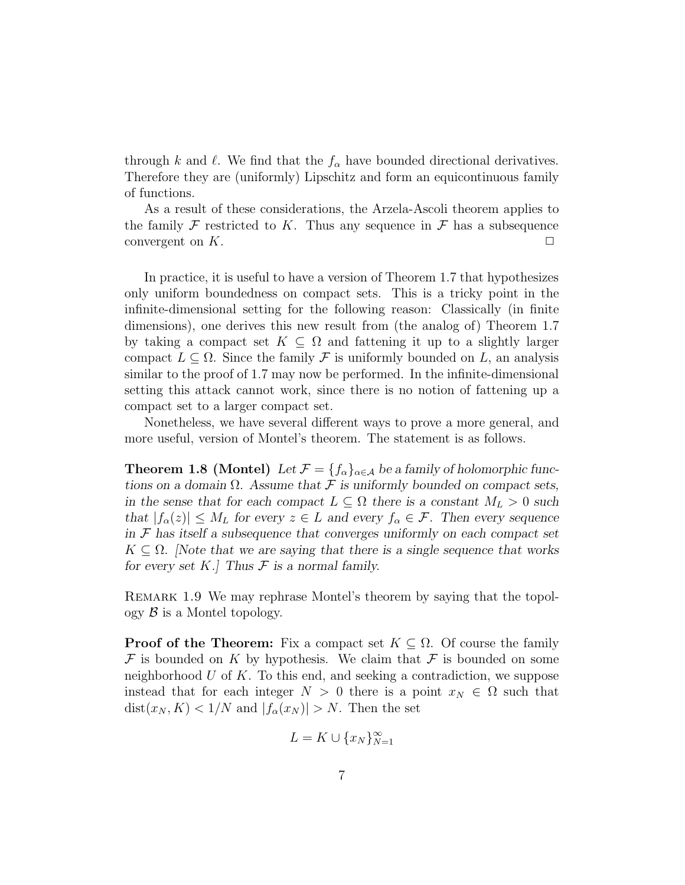through k and  $\ell$ . We find that the  $f_{\alpha}$  have bounded directional derivatives. Therefore they are (uniformly) Lipschitz and form an equicontinuous family of functions.

As a result of these considerations, the Arzela-Ascoli theorem applies to the family  $\mathcal F$  restricted to K. Thus any sequence in  $\mathcal F$  has a subsequence convergent on  $K$ .  $\Box$ 

In practice, it is useful to have a version of Theorem 1.7 that hypothesizes only uniform boundedness on compact sets. This is a tricky point in the infinite-dimensional setting for the following reason: Classically (in finite dimensions), one derives this new result from (the analog of) Theorem 1.7 by taking a compact set  $K \subseteq \Omega$  and fattening it up to a slightly larger compact  $L \subseteq \Omega$ . Since the family F is uniformly bounded on L, an analysis similar to the proof of 1.7 may now be performed. In the infinite-dimensional setting this attack cannot work, since there is no notion of fattening up a compact set to a larger compact set.

Nonetheless, we have several different ways to prove a more general, and more useful, version of Montel's theorem. The statement is as follows.

**Theorem 1.8 (Montel)** Let  $\mathcal{F} = \{f_{\alpha}\}_{{\alpha \in \mathcal{A}}}$  be a family of holomorphic func*tions on a domain*  $\Omega$ *. Assume that*  $\mathcal F$  *is uniformly bounded on compact sets, in the sense that for each compact*  $L \subseteq \Omega$  *there is a constant*  $M_L > 0$  *such that*  $|f_{\alpha}(z)| \leq M_L$  *for every*  $z \in L$  *and every*  $f_{\alpha} \in \mathcal{F}$ *. Then every sequence in* F *has itself a subsequence that converges uniformly on each compact set*  $K \subseteq \Omega$ . Note that we are saying that there is a single sequence that works *for every set*  $K$ *.] Thus*  $F$  *is a normal family.* 

Remark 1.9 We may rephrase Montel's theorem by saying that the topol- $\log y$  *B* is a Montel topology.

**Proof of the Theorem:** Fix a compact set  $K \subseteq \Omega$ . Of course the family  $\mathcal F$  is bounded on K by hypothesis. We claim that  $\mathcal F$  is bounded on some neighborhood  $U$  of  $K$ . To this end, and seeking a contradiction, we suppose instead that for each integer  $N > 0$  there is a point  $x_N \in \Omega$  such that  $dist(x_N, K) < 1/N$  and  $|f_\alpha(x_N)| > N$ . Then the set

$$
L = K \cup \{x_N\}_{N=1}^{\infty}
$$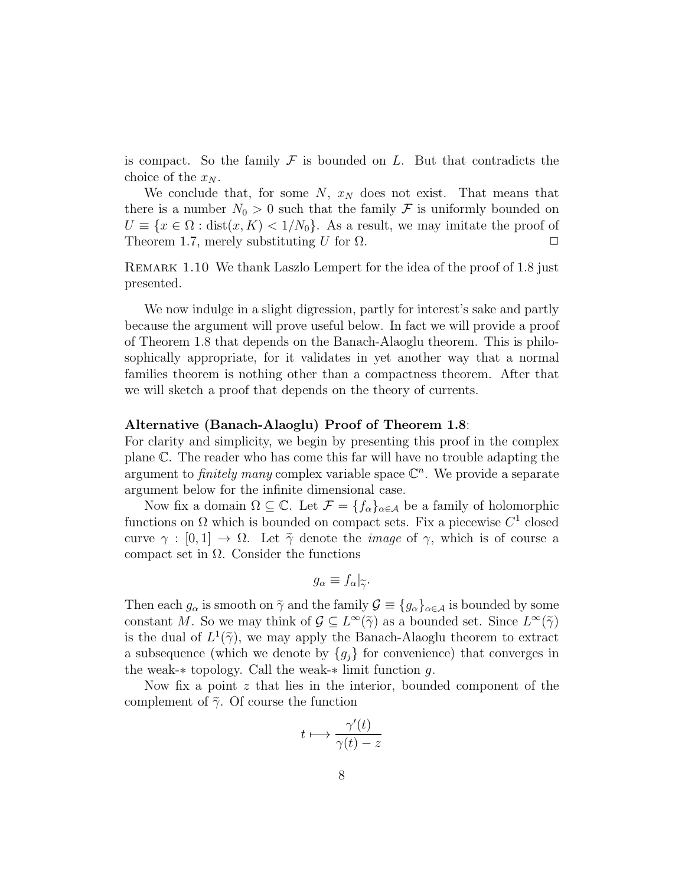is compact. So the family  $\mathcal F$  is bounded on L. But that contradicts the choice of the  $x_N$ .

We conclude that, for some  $N$ ,  $x_N$  does not exist. That means that there is a number  $N_0 > 0$  such that the family F is uniformly bounded on  $U \equiv \{x \in \Omega : dist(x, K) < 1/N_0\}.$  As a result, we may imitate the proof of Theorem 1.7, merely substituting U for  $\Omega$ .

Remark 1.10 We thank Laszlo Lempert for the idea of the proof of 1.8 just presented.

We now indulge in a slight digression, partly for interest's sake and partly because the argument will prove useful below. In fact we will provide a proof of Theorem 1.8 that depends on the Banach-Alaoglu theorem. This is philosophically appropriate, for it validates in yet another way that a normal families theorem is nothing other than a compactness theorem. After that we will sketch a proof that depends on the theory of currents.

#### Alternative (Banach-Alaoglu) Proof of Theorem 1.8:

For clarity and simplicity, we begin by presenting this proof in the complex plane C. The reader who has come this far will have no trouble adapting the argument to *finitely many* complex variable space  $\mathbb{C}^n$ . We provide a separate argument below for the infinite dimensional case.

Now fix a domain  $\Omega \subseteq \mathbb{C}$ . Let  $\mathcal{F} = \{f_{\alpha}\}_{{\alpha \in \mathcal{A}}}$  be a family of holomorphic functions on  $\Omega$  which is bounded on compact sets. Fix a piecewise  $C^1$  closed curve  $\gamma : [0,1] \to \Omega$ . Let  $\tilde{\gamma}$  denote the *image* of  $\gamma$ , which is of course a compact set in  $Ω$ . Consider the functions

$$
g_{\alpha} \equiv f_{\alpha}|_{\widetilde{\gamma}}.
$$

Then each  $g_{\alpha}$  is smooth on  $\tilde{\gamma}$  and the family  $\mathcal{G} \equiv \{g_{\alpha}\}_{{\alpha \in \mathcal{A}}}$  is bounded by some constant M. So we may think of  $\mathcal{G} \subseteq L^{\infty}(\tilde{\gamma})$  as a bounded set. Since  $L^{\infty}(\tilde{\gamma})$ is the dual of  $L^1(\tilde{\gamma})$ , we may apply the Banach-Alaoglu theorem to extract a subsequence (which we denote by  ${g_i}$  for convenience) that converges in the weak-∗ topology. Call the weak-∗ limit function g.

Now fix a point  $z$  that lies in the interior, bounded component of the complement of  $\tilde{\gamma}$ . Of course the function

$$
t \longmapsto \frac{\gamma'(t)}{\gamma(t) - z}
$$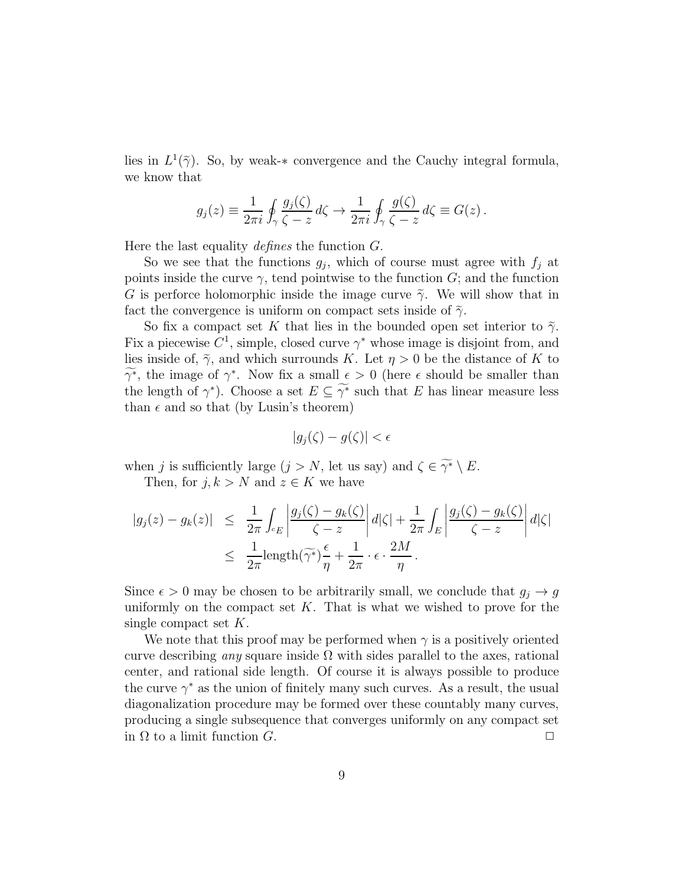lies in  $L^1(\tilde{\gamma})$ . So, by weak-\* convergence and the Cauchy integral formula, we know that

$$
g_j(z) \equiv \frac{1}{2\pi i} \oint_\gamma \frac{g_j(\zeta)}{\zeta - z} d\zeta \to \frac{1}{2\pi i} \oint_\gamma \frac{g(\zeta)}{\zeta - z} d\zeta \equiv G(z) .
$$

Here the last equality *defines* the function G.

So we see that the functions  $g_j$ , which of course must agree with  $f_j$  at points inside the curve  $\gamma$ , tend pointwise to the function  $G$ ; and the function G is perforce holomorphic inside the image curve  $\tilde{\gamma}$ . We will show that in fact the convergence is uniform on compact sets inside of  $\tilde{\gamma}$ .

So fix a compact set K that lies in the bounded open set interior to  $\tilde{\gamma}$ . Fix a piecewise  $C^1$ , simple, closed curve  $\gamma^*$  whose image is disjoint from, and lies inside of,  $\tilde{\gamma}$ , and which surrounds K. Let  $\eta > 0$  be the distance of K to  $\widetilde{\gamma^*}$ , the image of  $\gamma^*$ . Now fix a small  $\epsilon > 0$  (here  $\epsilon$  should be smaller than the length of  $\gamma^*$ ). Choose a set  $E \subseteq \widetilde{\gamma^*}$  such that E has linear measure less than  $\epsilon$  and so that (by Lusin's theorem)

$$
|g_j(\zeta) - g(\zeta)| < \epsilon
$$

when j is sufficiently large  $(j > N$ , let us say) and  $\zeta \in \widetilde{\gamma^*} \setminus E$ .

Then, for  $j, k > N$  and  $z \in K$  we have

$$
|g_j(z) - g_k(z)| \leq \frac{1}{2\pi} \int_{c_E} \left| \frac{g_j(\zeta) - g_k(\zeta)}{\zeta - z} \right| d|\zeta| + \frac{1}{2\pi} \int_E \left| \frac{g_j(\zeta) - g_k(\zeta)}{\zeta - z} \right| d|\zeta|
$$
  

$$
\leq \frac{1}{2\pi} \operatorname{length}(\widetilde{\gamma^*}) \frac{\epsilon}{\eta} + \frac{1}{2\pi} \cdot \epsilon \cdot \frac{2M}{\eta}.
$$

Since  $\epsilon > 0$  may be chosen to be arbitrarily small, we conclude that  $g_i \to g$ uniformly on the compact set  $K$ . That is what we wished to prove for the single compact set  $K$ .

We note that this proof may be performed when  $\gamma$  is a positively oriented curve describing *any* square inside  $\Omega$  with sides parallel to the axes, rational center, and rational side length. Of course it is always possible to produce the curve  $\gamma^*$  as the union of finitely many such curves. As a result, the usual diagonalization procedure may be formed over these countably many curves, producing a single subsequence that converges uniformly on any compact set in  $\Omega$  to a limit function  $G$ .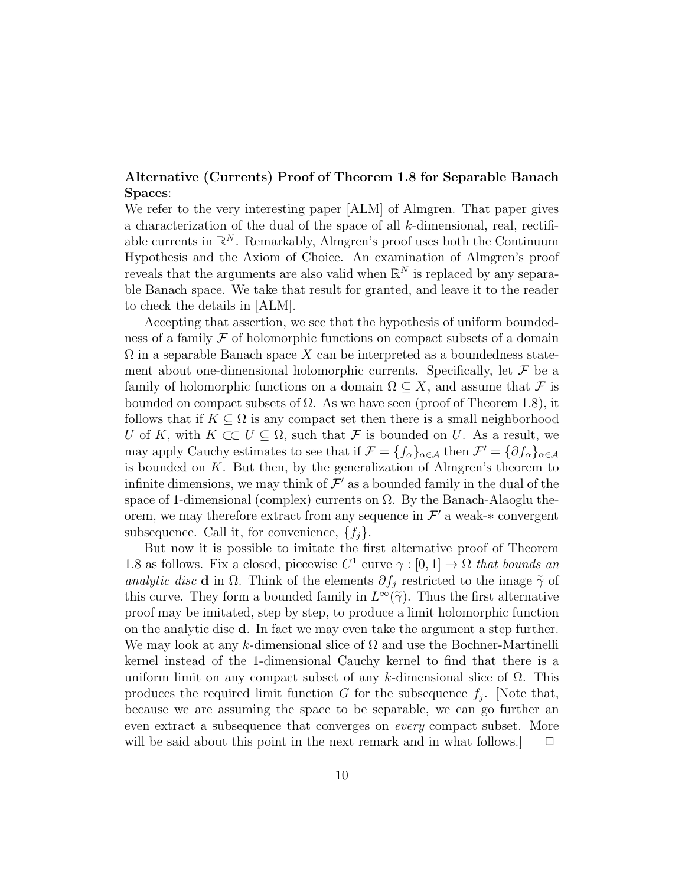#### Alternative (Currents) Proof of Theorem 1.8 for Separable Banach Spaces:

We refer to the very interesting paper [ALM] of Almgren. That paper gives a characterization of the dual of the space of all k-dimensional, real, rectifiable currents in  $\mathbb{R}^N$ . Remarkably, Almgren's proof uses both the Continuum Hypothesis and the Axiom of Choice. An examination of Almgren's proof reveals that the arguments are also valid when  $\mathbb{R}^N$  is replaced by any separable Banach space. We take that result for granted, and leave it to the reader to check the details in [ALM].

Accepting that assertion, we see that the hypothesis of uniform boundedness of a family  $\mathcal F$  of holomorphic functions on compact subsets of a domain  $\Omega$  in a separable Banach space X can be interpreted as a boundedness statement about one-dimensional holomorphic currents. Specifically, let  $\mathcal F$  be a family of holomorphic functions on a domain  $\Omega \subseteq X$ , and assume that F is bounded on compact subsets of  $\Omega$ . As we have seen (proof of Theorem 1.8), it follows that if  $K \subseteq \Omega$  is any compact set then there is a small neighborhood U of K, with  $K \subset\subset U \subseteq \Omega$ , such that F is bounded on U. As a result, we may apply Cauchy estimates to see that if  $\mathcal{F} = \{f_\alpha\}_{\alpha \in \mathcal{A}}$  then  $\mathcal{F}' = \{\partial f_\alpha\}_{\alpha \in \mathcal{A}}$ is bounded on  $K$ . But then, by the generalization of Almgren's theorem to infinite dimensions, we may think of  $\mathcal{F}'$  as a bounded family in the dual of the space of 1-dimensional (complex) currents on  $\Omega$ . By the Banach-Alaoglu theorem, we may therefore extract from any sequence in  $\mathcal{F}'$  a weak- $*$  convergent subsequence. Call it, for convenience,  $\{f_i\}$ .

But now it is possible to imitate the first alternative proof of Theorem 1.8 as follows. Fix a closed, piecewise  $C^1$  curve  $\gamma : [0,1] \to \Omega$  that bounds an analytic disc **d** in  $\Omega$ . Think of the elements  $\partial f_i$  restricted to the image  $\tilde{\gamma}$  of this curve. They form a bounded family in  $L^{\infty}(\tilde{\gamma})$ . Thus the first alternative proof may be imitated, step by step, to produce a limit holomorphic function on the analytic disc d. In fact we may even take the argument a step further. We may look at any k-dimensional slice of  $\Omega$  and use the Bochner-Martinelli kernel instead of the 1-dimensional Cauchy kernel to find that there is a uniform limit on any compact subset of any k-dimensional slice of  $\Omega$ . This produces the required limit function G for the subsequence  $f_j$ . [Note that, because we are assuming the space to be separable, we can go further an even extract a subsequence that converges on every compact subset. More will be said about this point in the next remark and in what follows.  $\Box$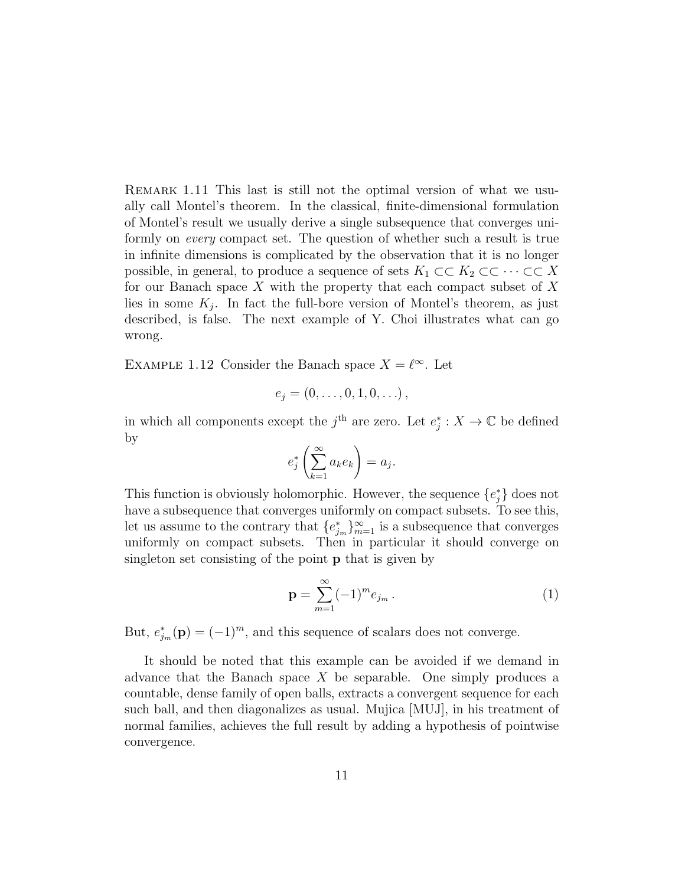REMARK 1.11 This last is still not the optimal version of what we usually call Montel's theorem. In the classical, finite-dimensional formulation of Montel's result we usually derive a single subsequence that converges uniformly on every compact set. The question of whether such a result is true in infinite dimensions is complicated by the observation that it is no longer possible, in general, to produce a sequence of sets  $K_1 \subset\subset K_2 \subset\subset \cdots \subset\subset X$ for our Banach space  $X$  with the property that each compact subset of  $X$ lies in some  $K_j$ . In fact the full-bore version of Montel's theorem, as just described, is false. The next example of Y. Choi illustrates what can go wrong.

EXAMPLE 1.12 Consider the Banach space  $X = \ell^{\infty}$ . Let

$$
e_j = (0, \ldots, 0, 1, 0, \ldots),
$$

in which all components except the  $j<sup>th</sup>$  are zero. Let  $e_j^*: X \to \mathbb{C}$  be defined by

$$
e_j^* \left( \sum_{k=1}^{\infty} a_k e_k \right) = a_j.
$$

This function is obviously holomorphic. However, the sequence  ${e_j^*}$  does not have a subsequence that converges uniformly on compact subsets. To see this, let us assume to the contrary that  ${e_{j_m}^*}_{m=1}^{\infty}$  is a subsequence that converges uniformly on compact subsets. Then in particular it should converge on singleton set consisting of the point p that is given by

$$
\mathbf{p} = \sum_{m=1}^{\infty} (-1)^m e_{j_m} . \tag{1}
$$

But,  $e_{j_m}^*(\mathbf{p}) = (-1)^m$ , and this sequence of scalars does not converge.

It should be noted that this example can be avoided if we demand in advance that the Banach space  $X$  be separable. One simply produces a countable, dense family of open balls, extracts a convergent sequence for each such ball, and then diagonalizes as usual. Mujica [MUJ], in his treatment of normal families, achieves the full result by adding a hypothesis of pointwise convergence.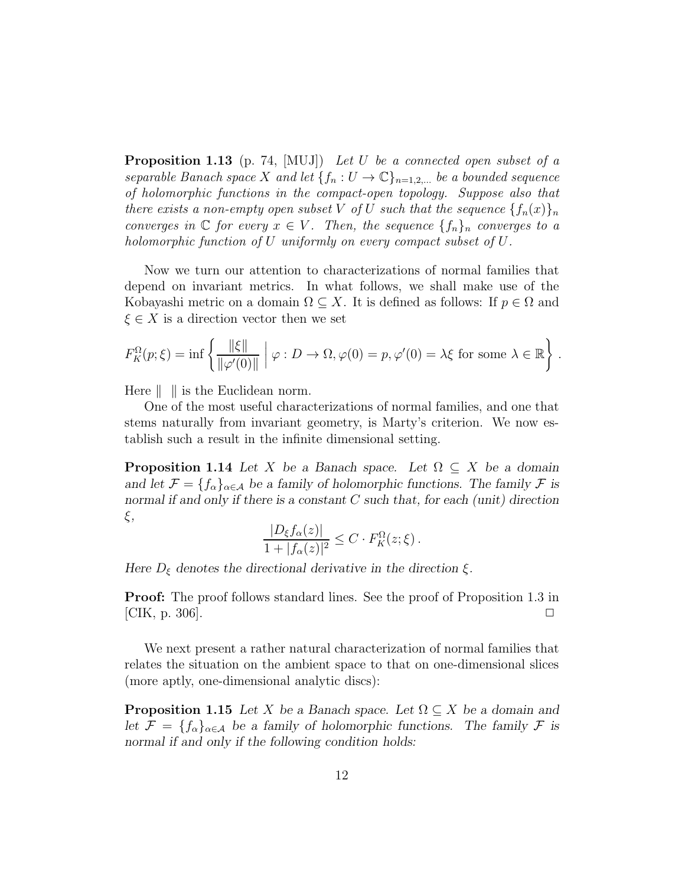**Proposition 1.13** (p. 74,  $[MUJ]$ ) Let U be a connected open subset of a separable Banach space X and let  $\{f_n: U \to \mathbb{C}\}_{n=1,2,...}$  be a bounded sequence of holomorphic functions in the compact-open topology. Suppose also that there exists a non-empty open subset V of U such that the sequence  $\{f_n(x)\}_n$ converges in  $\mathbb C$  for every  $x \in V$ . Then, the sequence  $\{f_n\}_n$  converges to a holomorphic function of U uniformly on every compact subset of U.

Now we turn our attention to characterizations of normal families that depend on invariant metrics. In what follows, we shall make use of the Kobayashi metric on a domain  $\Omega \subseteq X$ . It is defined as follows: If  $p \in \Omega$  and  $\xi \in X$  is a direction vector then we set

$$
F_K^{\Omega}(p;\xi) = \inf \left\{ \frac{\|\xi\|}{\|\varphi'(0)\|} \mid \varphi: D \to \Omega, \varphi(0) = p, \varphi'(0) = \lambda \xi \text{ for some } \lambda \in \mathbb{R} \right\}.
$$

Here  $\|\cdot\|$  is the Euclidean norm.

One of the most useful characterizations of normal families, and one that stems naturally from invariant geometry, is Marty's criterion. We now establish such a result in the infinite dimensional setting.

**Proposition 1.14** *Let* X *be a Banach space.* Let  $\Omega \subseteq X$  *be a domain* and let  $\mathcal{F} = \{f_{\alpha}\}_{{\alpha \in \mathcal{A}}}$  be a family of holomorphic functions. The family  $\mathcal{F}$  is *normal if and only if there is a constant* C *such that, for each (unit) direction* ξ*,*

$$
\frac{|D_{\xi}f_{\alpha}(z)|}{1+|f_{\alpha}(z)|^2} \leq C \cdot F_K^{\Omega}(z;\xi).
$$

*Here*  $D_{\xi}$  *denotes the directional derivative in the direction*  $\xi$ *.* 

Proof: The proof follows standard lines. See the proof of Proposition 1.3 in [CIK, p. 306].  $\Box$ 

We next present a rather natural characterization of normal families that relates the situation on the ambient space to that on one-dimensional slices (more aptly, one-dimensional analytic discs):

**Proposition 1.15** *Let* X *be a Banach space. Let*  $\Omega \subseteq X$  *be a domain and* let  $\mathcal{F} = \{f_{\alpha}\}_{{\alpha \in \mathcal{A}}}$  be a family of holomorphic functions. The family  $\mathcal{F}$  is *normal if and only if the following condition holds:*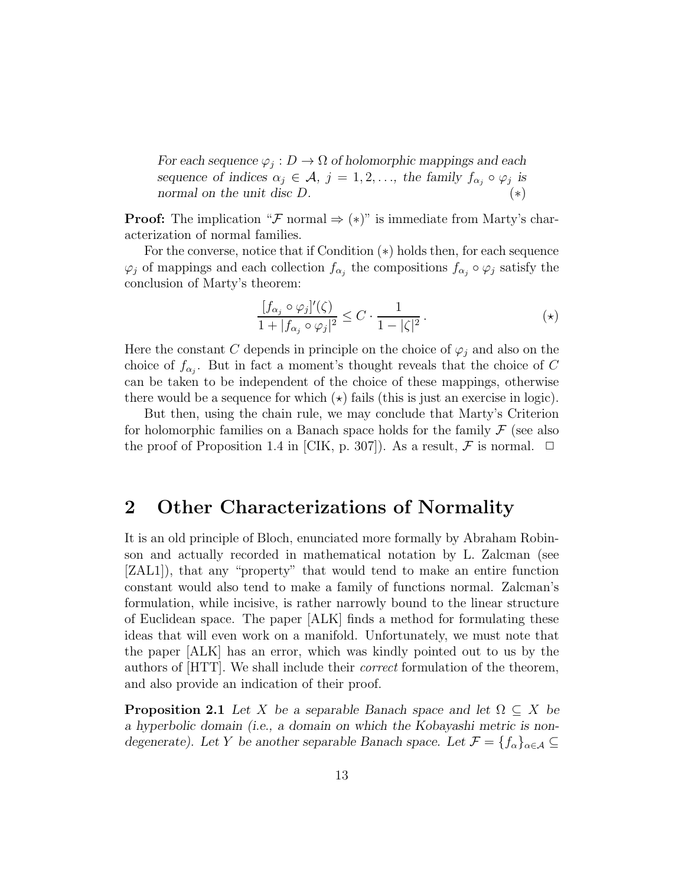*For each sequence*  $\varphi_j : D \to \Omega$  *of holomorphic mappings and each sequence of indices*  $\alpha_j \in \mathcal{A}, j = 1, 2, \ldots$ , the family  $f_{\alpha_j} \circ \varphi_j$  is *normal on the unit disc* D*.* (∗)

**Proof:** The implication " $\mathcal F$  normal  $\Rightarrow$  (\*)" is immediate from Marty's characterization of normal families.

For the converse, notice that if Condition (∗) holds then, for each sequence  $\varphi_j$  of mappings and each collection  $f_{\alpha_j}$  the compositions  $f_{\alpha_j} \circ \varphi_j$  satisfy the conclusion of Marty's theorem:

$$
\frac{[f_{\alpha_j} \circ \varphi_j]'(\zeta)}{1+|f_{\alpha_j} \circ \varphi_j|^2} \le C \cdot \frac{1}{1-|\zeta|^2}.
$$

Here the constant C depends in principle on the choice of  $\varphi_i$  and also on the choice of  $f_{\alpha_j}$ . But in fact a moment's thought reveals that the choice of C can be taken to be independent of the choice of these mappings, otherwise there would be a sequence for which  $(\star)$  fails (this is just an exercise in logic).

But then, using the chain rule, we may conclude that Marty's Criterion for holomorphic families on a Banach space holds for the family  $\mathcal F$  (see also the proof of Proposition 1.4 in [CIK, p. 307]). As a result,  $\mathcal F$  is normal.  $\Box$ 

# 2 Other Characterizations of Normality

It is an old principle of Bloch, enunciated more formally by Abraham Robinson and actually recorded in mathematical notation by L. Zalcman (see [ZAL1]), that any "property" that would tend to make an entire function constant would also tend to make a family of functions normal. Zalcman's formulation, while incisive, is rather narrowly bound to the linear structure of Euclidean space. The paper [ALK] finds a method for formulating these ideas that will even work on a manifold. Unfortunately, we must note that the paper [ALK] has an error, which was kindly pointed out to us by the authors of [HTT]. We shall include their correct formulation of the theorem, and also provide an indication of their proof.

**Proposition 2.1** *Let* X *be a separable Banach space and let*  $\Omega \subseteq X$  *be a hyperbolic domain (i.e., a domain on which the Kobayashi metric is nondegenerate).* Let Y be another separable Banach space. Let  $\mathcal{F} = \{f_{\alpha}\}_{{\alpha \in \mathcal{A}}} \subseteq$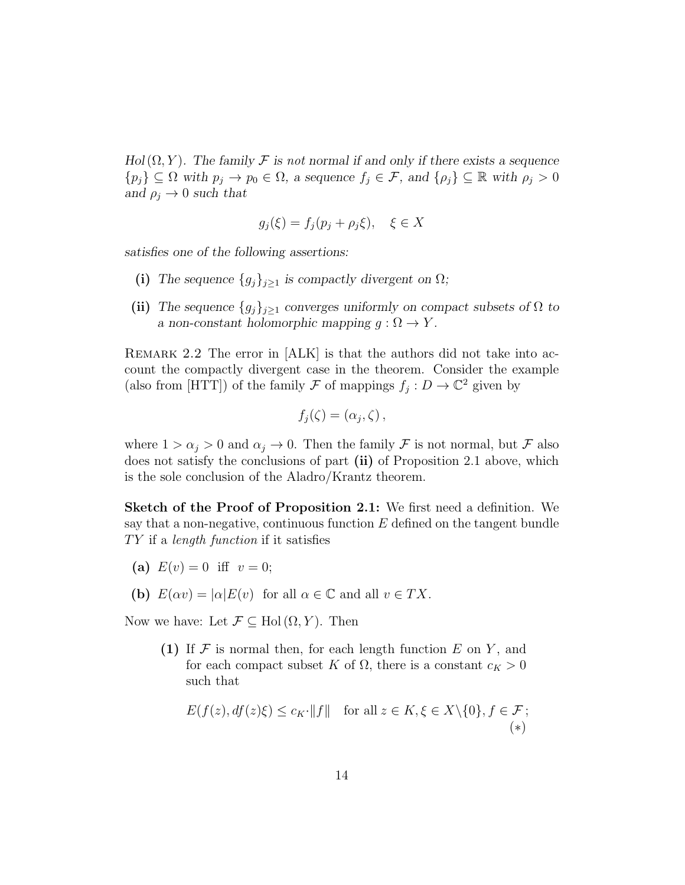*Hol*( $\Omega$ ,  $Y$ )*.* The family  $\mathcal F$  is not normal if and only if there exists a sequence  $\{p_j\} \subseteq \Omega$  with  $p_j \to p_0 \in \Omega$ , a sequence  $f_j \in \mathcal{F}$ , and  $\{\rho_j\} \subseteq \mathbb{R}$  with  $\rho_j > 0$ *and*  $\rho_j \rightarrow 0$  *such that* 

$$
g_j(\xi) = f_j(p_j + \rho_j \xi), \quad \xi \in X
$$

*satisfies one of the following assertions:*

- (i) The sequence  ${g_j}_{j\geq 1}$  is compactly divergent on  $\Omega$ ;
- (ii) *The sequence*  ${g_j}_{j\geq1}$  *converges uniformly on compact subsets of*  $\Omega$  *to a* non-constant holomorphic mapping  $g : \Omega \to Y$ .

REMARK 2.2 The error in  $|ALK|$  is that the authors did not take into account the compactly divergent case in the theorem. Consider the example (also from [HTT]) of the family  $\mathcal F$  of mappings  $f_j: D \to \mathbb C^2$  given by

$$
f_j(\zeta) = (\alpha_j, \zeta) \,,
$$

where  $1 > \alpha_j > 0$  and  $\alpha_j \to 0$ . Then the family F is not normal, but F also does not satisfy the conclusions of part (ii) of Proposition 2.1 above, which is the sole conclusion of the Aladro/Krantz theorem.

Sketch of the Proof of Proposition 2.1: We first need a definition. We say that a non-negative, continuous function  $E$  defined on the tangent bundle  $TY$  if a length function if it satisfies

- (a)  $E(v) = 0$  iff  $v = 0$ ;
- (b)  $E(\alpha v) = |\alpha| E(v)$  for all  $\alpha \in \mathbb{C}$  and all  $v \in TX$ .

Now we have: Let  $\mathcal{F} \subseteq \text{Hol}(\Omega, Y)$ . Then

(1) If  $\mathcal F$  is normal then, for each length function  $E$  on  $Y$ , and for each compact subset K of  $\Omega$ , there is a constant  $c_K > 0$ such that

$$
E(f(z), df(z)\xi) \le c_K \cdot ||f|| \quad \text{for all } z \in K, \xi \in X \setminus \{0\}, f \in \mathcal{F};
$$
  
(\*)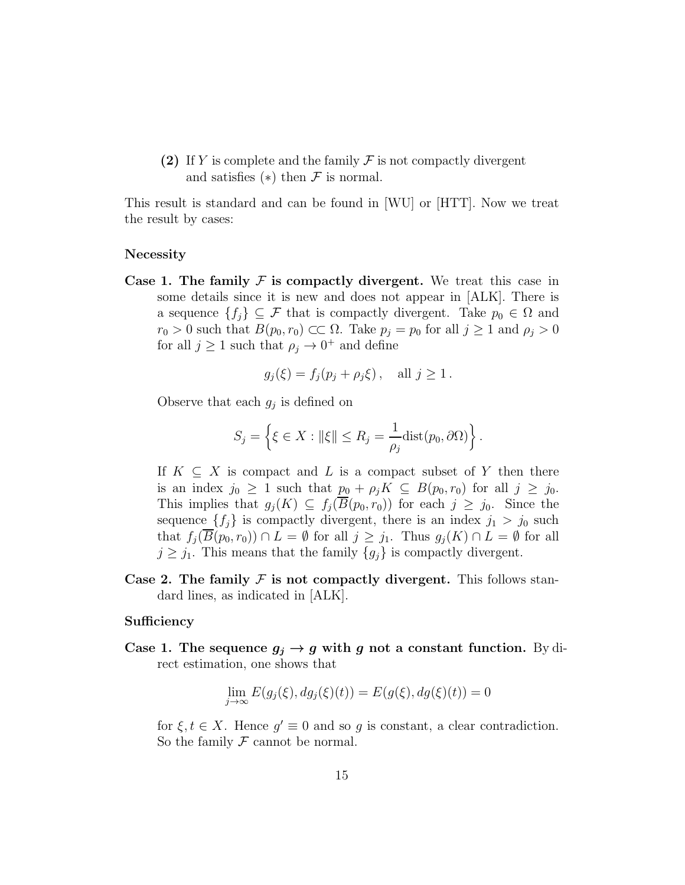(2) If Y is complete and the family  $\mathcal F$  is not compactly divergent and satisfies  $(*)$  then  $\mathcal F$  is normal.

This result is standard and can be found in [WU] or [HTT]. Now we treat the result by cases:

#### Necessity

Case 1. The family  $\mathcal F$  is compactly divergent. We treat this case in some details since it is new and does not appear in [ALK]. There is a sequence  $\{f_i\} \subseteq \mathcal{F}$  that is compactly divergent. Take  $p_0 \in \Omega$  and  $r_0 > 0$  such that  $B(p_0, r_0) \subset\subset \Omega$ . Take  $p_j = p_0$  for all  $j \geq 1$  and  $\rho_j > 0$ for all  $j \geq 1$  such that  $\rho_j \to 0^+$  and define

$$
g_j(\xi) = f_j(p_j + \rho_j \xi), \quad \text{all } j \ge 1.
$$

Observe that each  $g_j$  is defined on

$$
S_j = \left\{ \xi \in X : ||\xi|| \le R_j = \frac{1}{\rho_j} \text{dist}(p_0, \partial \Omega) \right\}.
$$

If  $K \subseteq X$  is compact and L is a compact subset of Y then there is an index  $j_0 \geq 1$  such that  $p_0 + \rho_j K \subseteq B(p_0, r_0)$  for all  $j \geq j_0$ . This implies that  $g_j(K) \subseteq f_j(\overline{B}(p_0, r_0))$  for each  $j \geq j_0$ . Since the sequence  $\{f_j\}$  is compactly divergent, there is an index  $j_1 > j_0$  such that  $f_j(B(p_0, r_0)) \cap L = \emptyset$  for all  $j \geq j_1$ . Thus  $g_j(K) \cap L = \emptyset$  for all  $j \geq j_1$ . This means that the family  $\{g_i\}$  is compactly divergent.

Case 2. The family  $\mathcal F$  is not compactly divergent. This follows standard lines, as indicated in [ALK].

#### **Sufficiency**

Case 1. The sequence  $g_j \to g$  with g not a constant function. By direct estimation, one shows that

$$
\lim_{j \to \infty} E(g_j(\xi), dg_j(\xi)(t)) = E(g(\xi), dg(\xi)(t)) = 0
$$

for  $\xi, t \in X$ . Hence  $g' \equiv 0$  and so g is constant, a clear contradiction. So the family  $\mathcal F$  cannot be normal.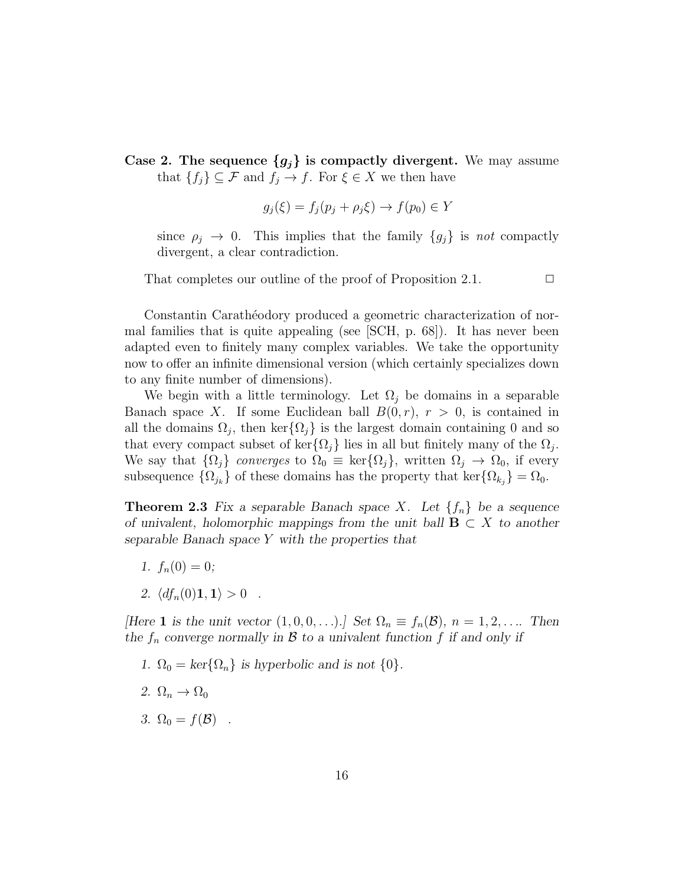Case 2. The sequence  ${g_j}$  is compactly divergent. We may assume that  $\{f_j\} \subseteq \mathcal{F}$  and  $f_j \to f$ . For  $\xi \in X$  we then have

$$
g_j(\xi) = f_j(p_j + \rho_j \xi) \to f(p_0) \in Y
$$

since  $\rho_j \to 0$ . This implies that the family  $\{g_j\}$  is not compactly divergent, a clear contradiction.

That completes our outline of the proof of Proposition 2.1.  $\Box$ 

Constantin Carathéodory produced a geometric characterization of normal families that is quite appealing (see [SCH, p. 68]). It has never been adapted even to finitely many complex variables. We take the opportunity now to offer an infinite dimensional version (which certainly specializes down to any finite number of dimensions).

We begin with a little terminology. Let  $\Omega_i$  be domains in a separable Banach space X. If some Euclidean ball  $B(0,r)$ ,  $r > 0$ , is contained in all the domains  $\Omega_j$ , then ker $\{\Omega_j\}$  is the largest domain containing 0 and so that every compact subset of ker $\{\Omega_j\}$  lies in all but finitely many of the  $\Omega_j$ . We say that  $\{\Omega_j\}$  converges to  $\Omega_0 \equiv \text{ker}\{\Omega_j\}$ , written  $\Omega_j \to \Omega_0$ , if every subsequence  $\{\Omega_{j_k}\}\$  of these domains has the property that ker $\{\Omega_{k_j}\} = \Omega_0$ .

**Theorem 2.3** Fix a separable Banach space X. Let  $\{f_n\}$  be a sequence *of univalent, holomorphic mappings from the unit ball*  $\mathbf{B} \subset X$  *to another separable Banach space* Y *with the properties that*

- 1.  $f_n(0) = 0$ ;
- *2.*  $\langle df_n(0)1, 1 \rangle > 0$ .

*[Here* **1** *is the unit vector*  $(1,0,0,\ldots)$ *.] Set*  $\Omega_n \equiv f_n(\mathcal{B})$ *,*  $n = 1,2,\ldots$  Then the  $f_n$  converge normally in  $\beta$  to a univalent function  $f$  if and only if

- *1.*  $\Omega_0 = \text{ker}\{\Omega_n\}$  *is hyperbolic and is not*  $\{0\}.$
- 2.  $\Omega_n \to \Omega_0$
- *3.*  $\Omega_0 = f(\mathcal{B})$ .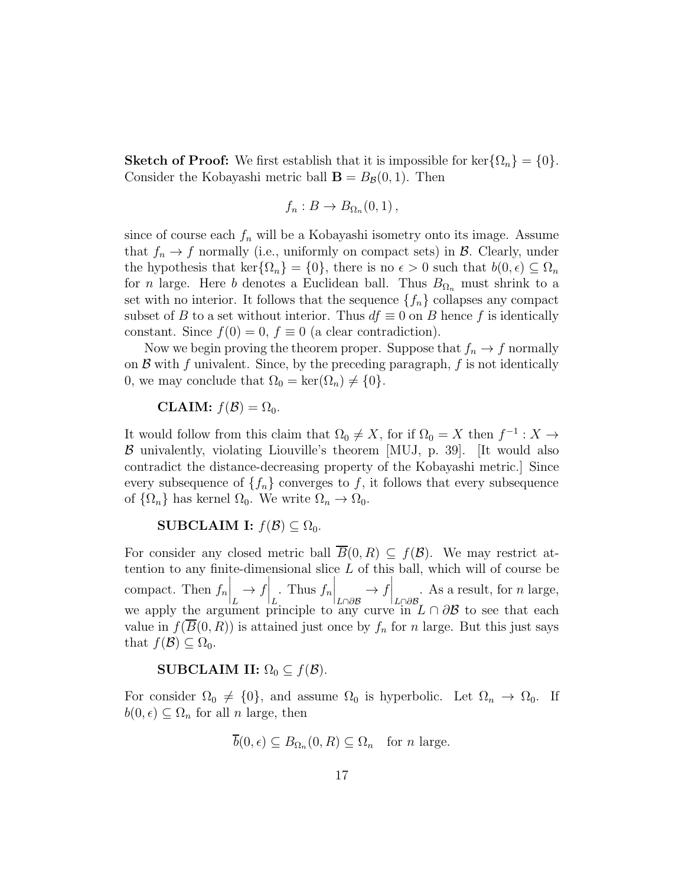**Sketch of Proof:** We first establish that it is impossible for ker $\{\Omega_n\} = \{0\}.$ Consider the Kobayashi metric ball  $\mathbf{B} = B_{\mathcal{B}}(0, 1)$ . Then

$$
f_n: B \to B_{\Omega_n}(0,1)\,,
$$

since of course each  $f_n$  will be a Kobayashi isometry onto its image. Assume that  $f_n \to f$  normally (i.e., uniformly on compact sets) in  $\mathcal{B}$ . Clearly, under the hypothesis that ker $\{\Omega_n\} = \{0\}$ , there is no  $\epsilon > 0$  such that  $b(0, \epsilon) \subseteq \Omega_n$ for *n* large. Here b denotes a Euclidean ball. Thus  $B_{\Omega_n}$  must shrink to a set with no interior. It follows that the sequence  $\{f_n\}$  collapses any compact subset of B to a set without interior. Thus  $df \equiv 0$  on B hence f is identically constant. Since  $f(0) = 0$ ,  $f \equiv 0$  (a clear contradiction).

Now we begin proving the theorem proper. Suppose that  $f_n \to f$  normally on  $\mathcal B$  with f univalent. Since, by the preceding paragraph, f is not identically 0, we may conclude that  $\Omega_0 = \ker(\Omega_n) \neq \{0\}.$ 

**CLAIM:** 
$$
f(\mathcal{B}) = \Omega_0
$$
.

It would follow from this claim that  $\Omega_0 \neq X$ , for if  $\Omega_0 = X$  then  $f^{-1} : X \to Y$  $\beta$  univalently, violating Liouville's theorem [MUJ, p. 39]. [It would also contradict the distance-decreasing property of the Kobayashi metric.] Since every subsequence of  $\{f_n\}$  converges to f, it follows that every subsequence of  $\{\Omega_n\}$  has kernel  $\Omega_0$ . We write  $\Omega_n \to \Omega_0$ .

#### SUBCLAIM I:  $f(\mathcal{B}) \subseteq \Omega_0$ .

For consider any closed metric ball  $\overline{B}(0, R) \subseteq f(\mathcal{B})$ . We may restrict attention to any finite-dimensional slice L of this ball, which will of course be compact. Then  $f_n$  $\Big|_L$  $\rightarrow f\Big|_{L}$ . Thus  $f_n$  $\Big|_{L\cap\partial\mathcal{B}}$  $\rightarrow f\Big|_{L\cap\partial\mathcal{B}}$ . As a result, for  $n$  large, we apply the argument principle to any curve in  $L \cap \partial \mathcal{B}$  to see that each value in  $f(\overline{B}(0,R))$  is attained just once by  $f_n$  for n large. But this just says that  $f(\mathcal{B}) \subseteq \Omega_0$ .

#### SUBCLAIM II:  $\Omega_0 \subseteq f(\mathcal{B})$ .

For consider  $\Omega_0 \neq \{0\}$ , and assume  $\Omega_0$  is hyperbolic. Let  $\Omega_n \to \Omega_0$ . If  $b(0, \epsilon) \subseteq \Omega_n$  for all n large, then

$$
\overline{b}(0,\epsilon) \subseteq B_{\Omega_n}(0,R) \subseteq \Omega_n
$$
 for *n* large.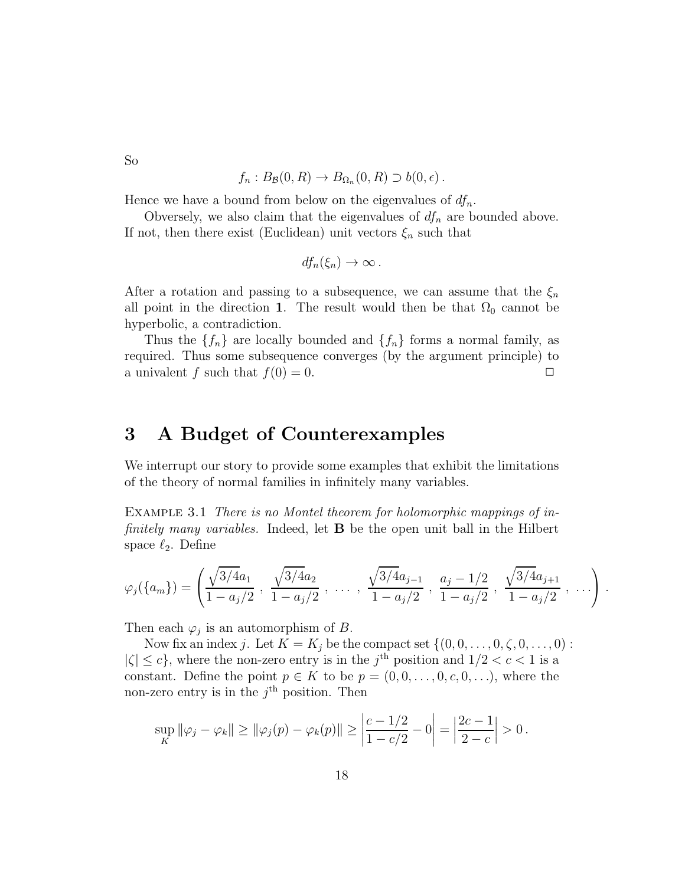So

$$
f_n: B_{\mathcal{B}}(0,R) \to B_{\Omega_n}(0,R) \supset b(0,\epsilon).
$$

Hence we have a bound from below on the eigenvalues of  $df_n$ .

Obversely, we also claim that the eigenvalues of  $df_n$  are bounded above. If not, then there exist (Euclidean) unit vectors  $\xi_n$  such that

$$
df_n(\xi_n)\to\infty.
$$

After a rotation and passing to a subsequence, we can assume that the  $\xi_n$ all point in the direction 1. The result would then be that  $\Omega_0$  cannot be hyperbolic, a contradiction.

Thus the  $\{f_n\}$  are locally bounded and  $\{f_n\}$  forms a normal family, as required. Thus some subsequence converges (by the argument principle) to a univalent f such that  $f(0) = 0$ .

### 3 A Budget of Counterexamples

We interrupt our story to provide some examples that exhibit the limitations of the theory of normal families in infinitely many variables.

Example 3.1 There is no Montel theorem for holomorphic mappings of infinitely many variables. Indeed, let **B** be the open unit ball in the Hilbert space  $\ell_2$ . Define

$$
\varphi_j(\{a_m\}) = \left(\frac{\sqrt{3/4a_1}}{1-a_j/2}, \frac{\sqrt{3/4a_2}}{1-a_j/2}, \ldots, \frac{\sqrt{3/4a_{j-1}}}{1-a_j/2}, \frac{a_j-1/2}{1-a_j/2}, \frac{\sqrt{3/4a_{j+1}}}{1-a_j/2}, \ldots\right).
$$

Then each  $\varphi_j$  is an automorphism of B.

Now fix an index j. Let  $K = K_j$  be the compact set  $\{(0, 0, \ldots, 0, \zeta, 0, \ldots, 0):$  $|\zeta| \leq c$ , where the non-zero entry is in the j<sup>th</sup> position and  $1/2 < c < 1$  is a constant. Define the point  $p \in K$  to be  $p = (0, 0, \ldots, 0, c, 0, \ldots)$ , where the non-zero entry is in the  $j<sup>th</sup>$  position. Then

$$
\sup_{K} \|\varphi_j - \varphi_k\| \ge \|\varphi_j(p) - \varphi_k(p)\| \ge \left|\frac{c - 1/2}{1 - c/2} - 0\right| = \left|\frac{2c - 1}{2 - c}\right| > 0.
$$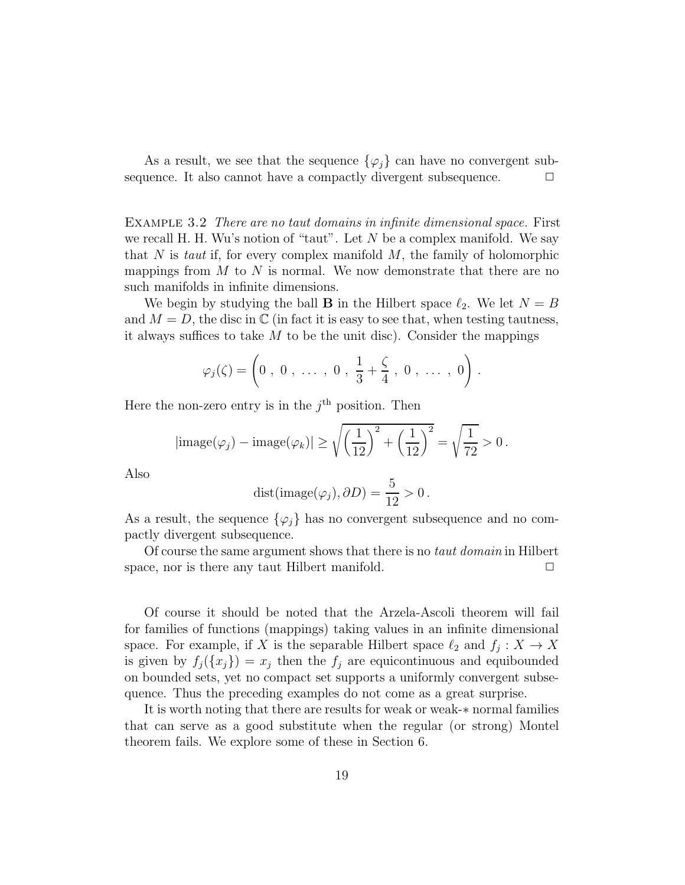As a result, we see that the sequence  $\{\varphi_i\}$  can have no convergent subsequence. It also cannot have a compactly divergent subsequence.  $\Box$ 

EXAMPLE 3.2 There are no taut domains in infinite dimensional space. First we recall H. H. Wu's notion of "taut". Let  $N$  be a complex manifold. We say that N is taut if, for every complex manifold  $M$ , the family of holomorphic mappings from  $M$  to  $N$  is normal. We now demonstrate that there are no such manifolds in infinite dimensions.

We begin by studying the ball **B** in the Hilbert space  $\ell_2$ . We let  $N = B$ and  $M = D$ , the disc in  $\mathbb C$  (in fact it is easy to see that, when testing tautness, it always suffices to take  $M$  to be the unit disc). Consider the mappings

$$
\varphi_j(\zeta) = \left(0, 0, \ldots, 0, \frac{1}{3} + \frac{\zeta}{4}, 0, \ldots, 0\right).
$$

Here the non-zero entry is in the  $j<sup>th</sup>$  position. Then

$$
|\text{image}(\varphi_j) - \text{image}(\varphi_k)| \ge \sqrt{\left(\frac{1}{12}\right)^2 + \left(\frac{1}{12}\right)^2} = \sqrt{\frac{1}{72}} > 0.
$$

Also

$$
dist(image(\varphi_j), \partial D) = \frac{5}{12} > 0.
$$

As a result, the sequence  $\{\varphi_j\}$  has no convergent subsequence and no compactly divergent subsequence.

Of course the same argument shows that there is no taut domain in Hilbert space, nor is there any taut Hilbert manifold.  $\Box$ 

Of course it should be noted that the Arzela-Ascoli theorem will fail for families of functions (mappings) taking values in an infinite dimensional space. For example, if X is the separable Hilbert space  $\ell_2$  and  $f_j: X \to X$ is given by  $f_j({x_j}) = x_j$  then the  $f_j$  are equicontinuous and equibounded on bounded sets, yet no compact set supports a uniformly convergent subsequence. Thus the preceding examples do not come as a great surprise.

It is worth noting that there are results for weak or weak-∗ normal families that can serve as a good substitute when the regular (or strong) Montel theorem fails. We explore some of these in Section 6.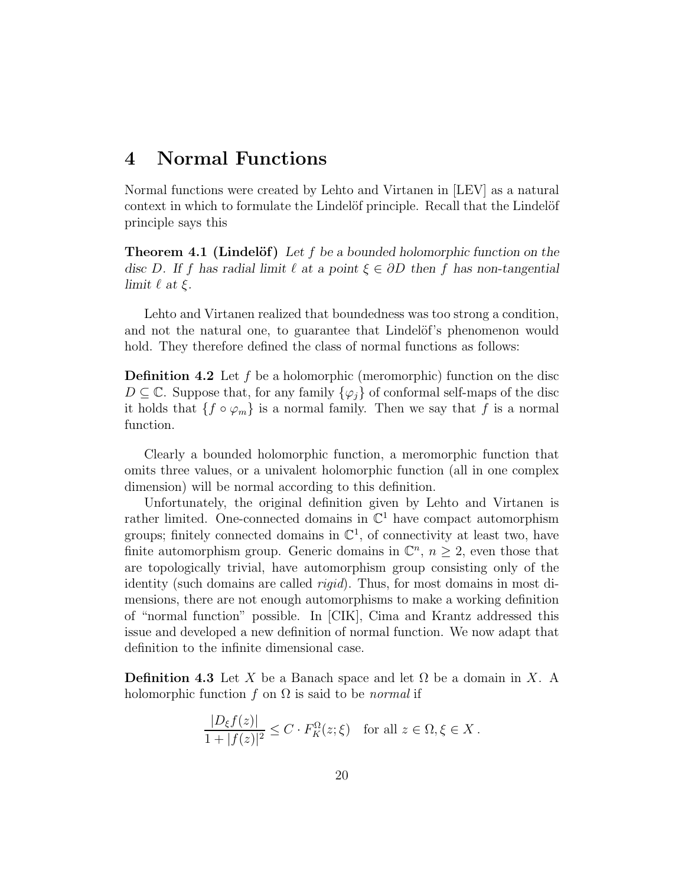## 4 Normal Functions

Normal functions were created by Lehto and Virtanen in [LEV] as a natural context in which to formulate the Lindelöf principle. Recall that the Lindelöf principle says this

**Theorem 4.1 (Lindelöf)** Let f be a bounded holomorphic function on the *disc* D*. If* f *has radial limit* ℓ *at a point* ξ ∈ ∂D *then* f *has non-tangential limit*  $\ell$  *at*  $\xi$ *.* 

Lehto and Virtanen realized that boundedness was too strong a condition, and not the natural one, to guarantee that Lindelöf's phenomenon would hold. They therefore defined the class of normal functions as follows:

**Definition 4.2** Let f be a holomorphic (meromorphic) function on the disc  $D \subseteq \mathbb{C}$ . Suppose that, for any family  $\{\varphi_i\}$  of conformal self-maps of the disc it holds that  $\{f \circ \varphi_m\}$  is a normal family. Then we say that f is a normal function.

Clearly a bounded holomorphic function, a meromorphic function that omits three values, or a univalent holomorphic function (all in one complex dimension) will be normal according to this definition.

Unfortunately, the original definition given by Lehto and Virtanen is rather limited. One-connected domains in  $\mathbb{C}^1$  have compact automorphism groups; finitely connected domains in  $\mathbb{C}^1$ , of connectivity at least two, have finite automorphism group. Generic domains in  $\mathbb{C}^n$ ,  $n \geq 2$ , even those that are topologically trivial, have automorphism group consisting only of the identity (such domains are called rigid). Thus, for most domains in most dimensions, there are not enough automorphisms to make a working definition of "normal function" possible. In [CIK], Cima and Krantz addressed this issue and developed a new definition of normal function. We now adapt that definition to the infinite dimensional case.

**Definition 4.3** Let X be a Banach space and let  $\Omega$  be a domain in X. A holomorphic function f on  $\Omega$  is said to be *normal* if

$$
\frac{|D_{\xi}f(z)|}{1+|f(z)|^2} \le C \cdot F_K^{\Omega}(z;\xi) \quad \text{for all } z \in \Omega, \xi \in X.
$$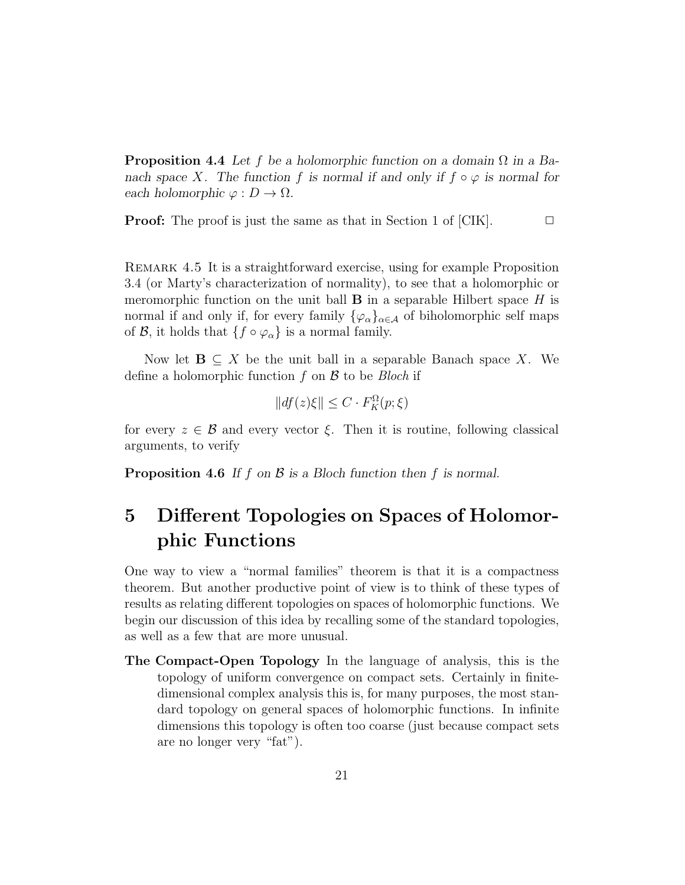Proposition 4.4 *Let* f *be a holomorphic function on a domain* Ω *in a Banach space* X. The function f is normal if and only if  $f \circ \varphi$  is normal for *each holomorphic*  $\varphi: D \to \Omega$ .

**Proof:** The proof is just the same as that in Section 1 of [CIK].  $\Box$ 

Remark 4.5 It is a straightforward exercise, using for example Proposition 3.4 (or Marty's characterization of normality), to see that a holomorphic or meromorphic function on the unit ball  $\bf{B}$  in a separable Hilbert space  $H$  is normal if and only if, for every family  $\{\varphi_{\alpha}\}_{{\alpha}\in\mathcal{A}}$  of biholomorphic self maps of B, it holds that  $\{f \circ \varphi_\alpha\}$  is a normal family.

Now let  $\mathbf{B} \subseteq X$  be the unit ball in a separable Banach space X. We define a holomorphic function f on  $\beta$  to be *Bloch* if

$$
||df(z)\xi|| \leq C \cdot F_K^{\Omega}(p;\xi)
$$

for every  $z \in \mathcal{B}$  and every vector  $\xi$ . Then it is routine, following classical arguments, to verify

Proposition 4.6 If f on B is a Bloch function then f is normal.

# 5 Different Topologies on Spaces of Holomorphic Functions

One way to view a "normal families" theorem is that it is a compactness theorem. But another productive point of view is to think of these types of results as relating different topologies on spaces of holomorphic functions. We begin our discussion of this idea by recalling some of the standard topologies, as well as a few that are more unusual.

The Compact-Open Topology In the language of analysis, this is the topology of uniform convergence on compact sets. Certainly in finitedimensional complex analysis this is, for many purposes, the most standard topology on general spaces of holomorphic functions. In infinite dimensions this topology is often too coarse (just because compact sets are no longer very "fat").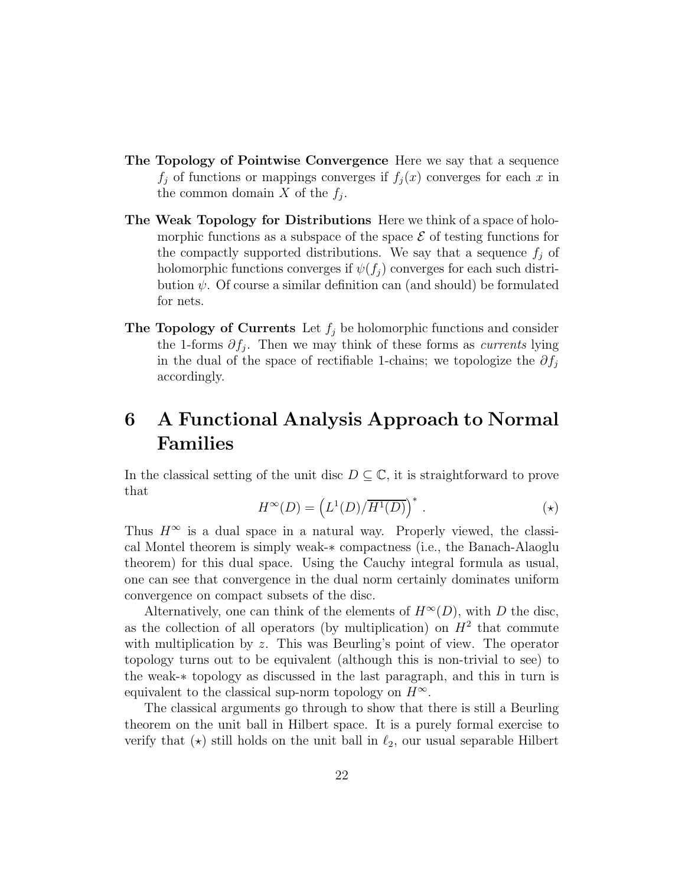- The Topology of Pointwise Convergence Here we say that a sequence  $f_j$  of functions or mappings converges if  $f_j(x)$  converges for each x in the common domain X of the  $f_j$ .
- The Weak Topology for Distributions Here we think of a space of holomorphic functions as a subspace of the space  $\mathcal E$  of testing functions for the compactly supported distributions. We say that a sequence  $f_i$  of holomorphic functions converges if  $\psi(f_i)$  converges for each such distribution  $\psi$ . Of course a similar definition can (and should) be formulated for nets.
- **The Topology of Currents** Let  $f_i$  be holomorphic functions and consider the 1-forms  $\partial f_j$ . Then we may think of these forms as *currents* lying in the dual of the space of rectifiable 1-chains; we topologize the  $\partial f_i$ accordingly.

# 6 A Functional Analysis Approach to Normal Families

In the classical setting of the unit disc  $D \subseteq \mathbb{C}$ , it is straightforward to prove that

$$
H^{\infty}(D) = \left(L^{1}(D)/\overline{H^{1}(D)}\right)^{*}.
$$
 (\*)

Thus  $H^{\infty}$  is a dual space in a natural way. Properly viewed, the classical Montel theorem is simply weak-∗ compactness (i.e., the Banach-Alaoglu theorem) for this dual space. Using the Cauchy integral formula as usual, one can see that convergence in the dual norm certainly dominates uniform convergence on compact subsets of the disc.

Alternatively, one can think of the elements of  $H^{\infty}(D)$ , with D the disc, as the collection of all operators (by multiplication) on  $H<sup>2</sup>$  that commute with multiplication by z. This was Beurling's point of view. The operator topology turns out to be equivalent (although this is non-trivial to see) to the weak-∗ topology as discussed in the last paragraph, and this in turn is equivalent to the classical sup-norm topology on  $H^{\infty}$ .

The classical arguments go through to show that there is still a Beurling theorem on the unit ball in Hilbert space. It is a purely formal exercise to verify that  $(\star)$  still holds on the unit ball in  $\ell_2$ , our usual separable Hilbert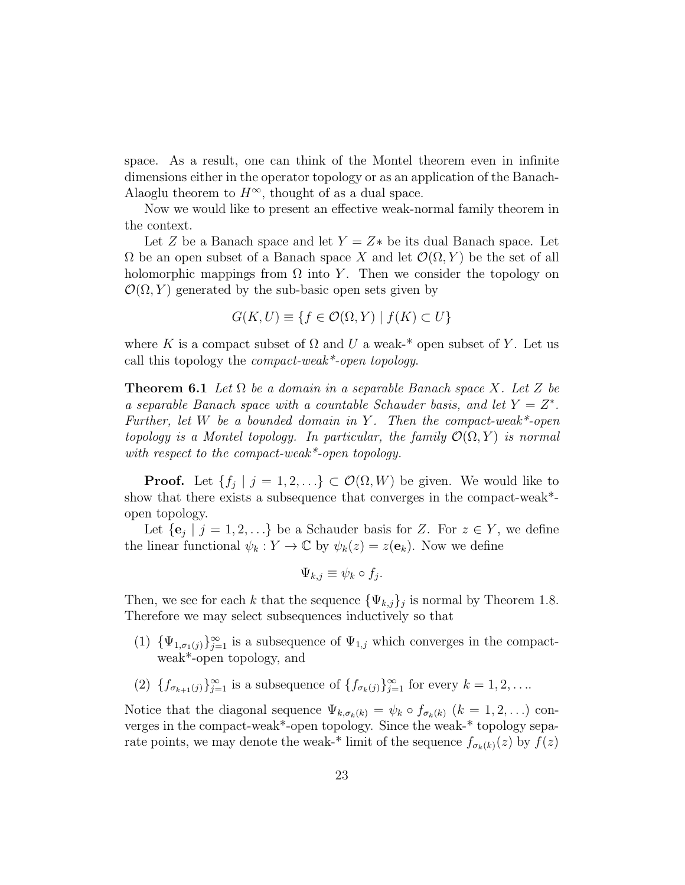space. As a result, one can think of the Montel theorem even in infinite dimensions either in the operator topology or as an application of the Banach-Alaoglu theorem to  $H^{\infty}$ , thought of as a dual space.

Now we would like to present an effective weak-normal family theorem in the context.

Let Z be a Banach space and let  $Y = Z^*$  be its dual Banach space. Let  $\Omega$  be an open subset of a Banach space X and let  $\mathcal{O}(\Omega, Y)$  be the set of all holomorphic mappings from  $\Omega$  into Y. Then we consider the topology on  $\mathcal{O}(\Omega, Y)$  generated by the sub-basic open sets given by

$$
G(K, U) \equiv \{ f \in \mathcal{O}(\Omega, Y) \mid f(K) \subset U \}
$$

where K is a compact subset of  $\Omega$  and U a weak-\* open subset of Y. Let us call this topology the *compact-weak*\*-open topology.

**Theorem 6.1** Let  $\Omega$  be a domain in a separable Banach space X. Let Z be a separable Banach space with a countable Schauder basis, and let  $Y = Z^*$ . Further, let W be a bounded domain in Y. Then the compact-weak\*-open topology is a Montel topology. In particular, the family  $\mathcal{O}(\Omega, Y)$  is normal with respect to the compact-weak\*-open topology.

**Proof.** Let  $\{f_j \mid j = 1, 2, ...\} \subset \mathcal{O}(\Omega, W)$  be given. We would like to show that there exists a subsequence that converges in the compact-weak\* open topology.

Let  $\{e_j \mid j = 1, 2, \ldots\}$  be a Schauder basis for Z. For  $z \in Y$ , we define the linear functional  $\psi_k : Y \to \mathbb{C}$  by  $\psi_k(z) = z(\mathbf{e}_k)$ . Now we define

$$
\Psi_{k,j} \equiv \psi_k \circ f_j.
$$

Then, we see for each k that the sequence  $\{\Psi_{k,j}\}_j$  is normal by Theorem 1.8. Therefore we may select subsequences inductively so that

- (1)  $\{\Psi_{1,\sigma_1(j)}\}_{j=1}^{\infty}$  is a subsequence of  $\Psi_{1,j}$  which converges in the compactweak\*-open topology, and
- (2)  $\{f_{\sigma_{k+1}(j)}\}_{j=1}^{\infty}$  is a subsequence of  $\{f_{\sigma_k(j)}\}_{j=1}^{\infty}$  for every  $k=1,2,...$

Notice that the diagonal sequence  $\Psi_{k,\sigma_k(k)} = \psi_k \circ f_{\sigma_k(k)}$   $(k = 1, 2, ...)$  converges in the compact-weak\*-open topology. Since the weak-\* topology separate points, we may denote the weak-\* limit of the sequence  $f_{\sigma_k(k)}(z)$  by  $f(z)$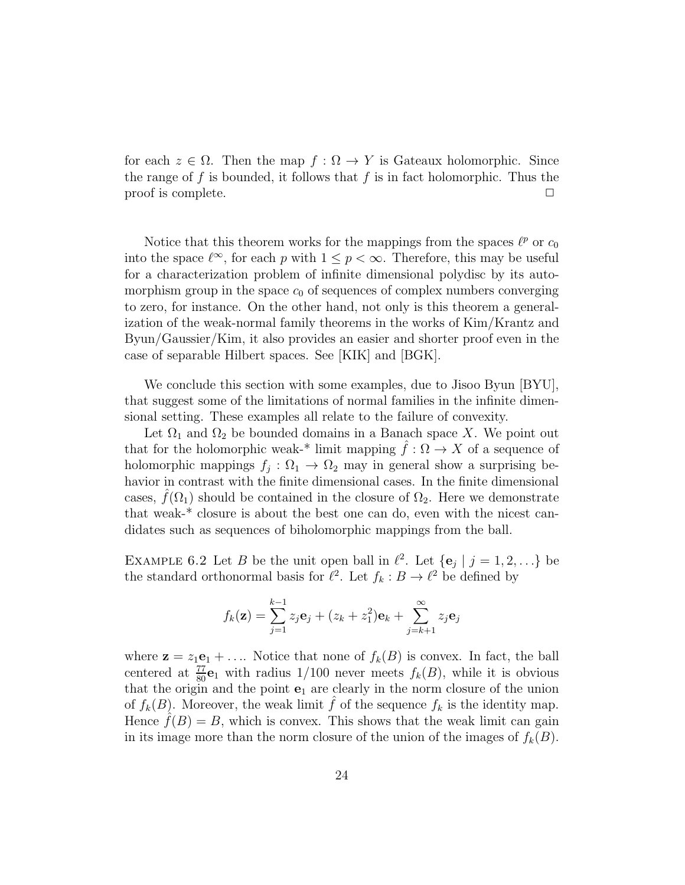for each  $z \in \Omega$ . Then the map  $f : \Omega \to Y$  is Gateaux holomorphic. Since the range of  $f$  is bounded, it follows that  $f$  is in fact holomorphic. Thus the proof is complete.

Notice that this theorem works for the mappings from the spaces  $\ell^p$  or  $c_0$ into the space  $\ell^{\infty}$ , for each p with  $1 \leq p < \infty$ . Therefore, this may be useful for a characterization problem of infinite dimensional polydisc by its automorphism group in the space  $c_0$  of sequences of complex numbers converging to zero, for instance. On the other hand, not only is this theorem a generalization of the weak-normal family theorems in the works of Kim/Krantz and Byun/Gaussier/Kim, it also provides an easier and shorter proof even in the case of separable Hilbert spaces. See [KIK] and [BGK].

We conclude this section with some examples, due to Jisoo Byun [BYU], that suggest some of the limitations of normal families in the infinite dimensional setting. These examples all relate to the failure of convexity.

Let  $\Omega_1$  and  $\Omega_2$  be bounded domains in a Banach space X. We point out that for the holomorphic weak-\* limit mapping  $\hat{f}: \Omega \to X$  of a sequence of holomorphic mappings  $f_j : \Omega_1 \to \Omega_2$  may in general show a surprising behavior in contrast with the finite dimensional cases. In the finite dimensional cases,  $\hat{f}(\Omega_1)$  should be contained in the closure of  $\Omega_2$ . Here we demonstrate that weak-\* closure is about the best one can do, even with the nicest candidates such as sequences of biholomorphic mappings from the ball.

EXAMPLE 6.2 Let B be the unit open ball in  $\ell^2$ . Let  $\{e_j \mid j = 1, 2, ...\}$  be the standard orthonormal basis for  $\ell^2$ . Let  $f_k : B \to \ell^2$  be defined by

$$
f_k(\mathbf{z}) = \sum_{j=1}^{k-1} z_j \mathbf{e}_j + (z_k + z_1^2) \mathbf{e}_k + \sum_{j=k+1}^{\infty} z_j \mathbf{e}_j
$$

where  $z = z_1e_1 + ...$  Notice that none of  $f_k(B)$  is convex. In fact, the ball centered at  $\frac{77}{80}$ **e**<sub>1</sub> with radius 1/100 never meets  $f_k(B)$ , while it is obvious that the origin and the point  $e_1$  are clearly in the norm closure of the union of  $f_k(B)$ . Moreover, the weak limit f of the sequence  $f_k$  is the identity map. Hence  $f(B) = B$ , which is convex. This shows that the weak limit can gain in its image more than the norm closure of the union of the images of  $f_k(B)$ .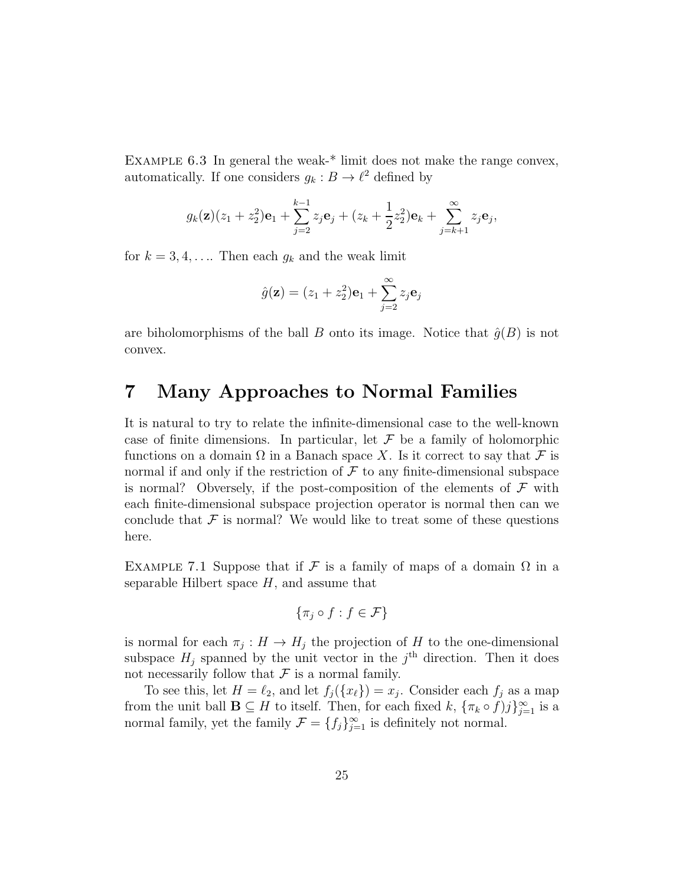EXAMPLE  $6.3$  In general the weak-\* limit does not make the range convex, automatically. If one considers  $g_k : B \to \ell^2$  defined by

$$
g_k(\mathbf{z})(z_1+z_2^2)\mathbf{e}_1+\sum_{j=2}^{k-1}z_j\mathbf{e}_j+(z_k+\frac{1}{2}z_2^2)\mathbf{e}_k+\sum_{j=k+1}^{\infty}z_j\mathbf{e}_j,
$$

for  $k = 3, 4, \ldots$  Then each  $g_k$  and the weak limit

$$
\hat{g}(\mathbf{z}) = (z_1 + z_2^2)\mathbf{e}_1 + \sum_{j=2}^{\infty} z_j \mathbf{e}_j
$$

are biholomorphisms of the ball B onto its image. Notice that  $\hat{g}(B)$  is not convex.

## 7 Many Approaches to Normal Families

It is natural to try to relate the infinite-dimensional case to the well-known case of finite dimensions. In particular, let  $\mathcal F$  be a family of holomorphic functions on a domain  $\Omega$  in a Banach space X. Is it correct to say that F is normal if and only if the restriction of  $\mathcal F$  to any finite-dimensional subspace is normal? Obversely, if the post-composition of the elements of  $\mathcal F$  with each finite-dimensional subspace projection operator is normal then can we conclude that  $\mathcal F$  is normal? We would like to treat some of these questions here.

EXAMPLE 7.1 Suppose that if F is a family of maps of a domain  $\Omega$  in a separable Hilbert space  $H$ , and assume that

$$
\{\pi_j \circ f : f \in \mathcal{F}\}
$$

is normal for each  $\pi_j: H \to H_j$  the projection of H to the one-dimensional subspace  $H_j$  spanned by the unit vector in the  $j<sup>th</sup>$  direction. Then it does not necessarily follow that  $\mathcal F$  is a normal family.

To see this, let  $H = \ell_2$ , and let  $f_j({x_\ell}) = x_j$ . Consider each  $f_j$  as a map from the unit ball  $\mathbf{B} \subseteq H$  to itself. Then, for each fixed  $k$ ,  $\{\pi_k \circ f\}$   $\}_{j=1}^{\infty}$  is a normal family, yet the family  $\mathcal{F} = \{f_j\}_{j=1}^{\infty}$  is definitely not normal.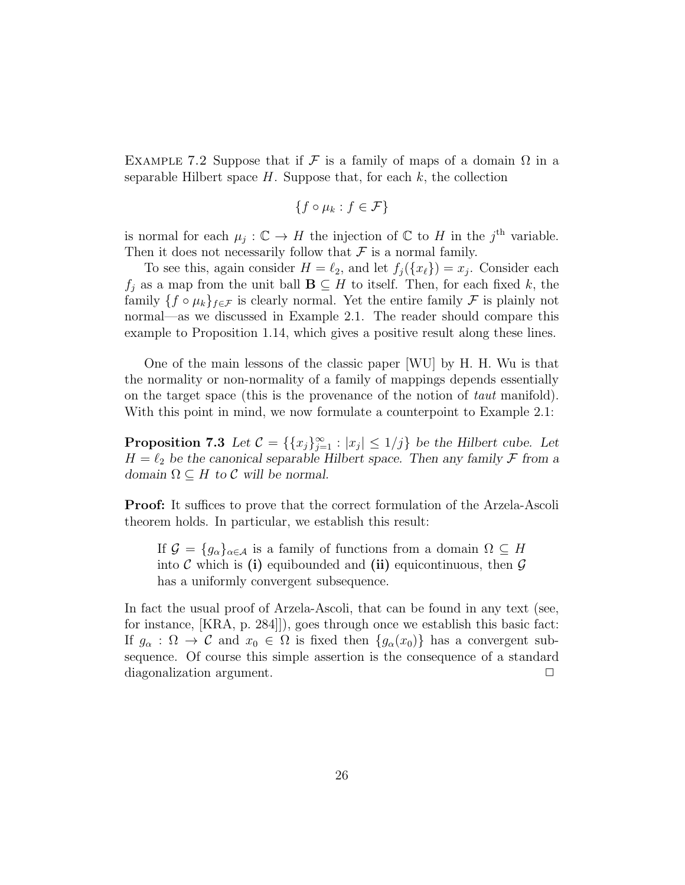EXAMPLE 7.2 Suppose that if F is a family of maps of a domain  $\Omega$  in a separable Hilbert space  $H$ . Suppose that, for each  $k$ , the collection

$$
\{f \circ \mu_k : f \in \mathcal{F}\}
$$

is normal for each  $\mu_j : \mathbb{C} \to H$  the injection of  $\mathbb{C}$  to H in the j<sup>th</sup> variable. Then it does not necessarily follow that  $\mathcal F$  is a normal family.

To see this, again consider  $H = \ell_2$ , and let  $f_j({x_\ell}) = x_j$ . Consider each  $f_j$  as a map from the unit ball  $\mathbf{B} \subseteq H$  to itself. Then, for each fixed k, the family  $\{f \circ \mu_k\}_{f \in \mathcal{F}}$  is clearly normal. Yet the entire family  $\mathcal F$  is plainly not normal—as we discussed in Example 2.1. The reader should compare this example to Proposition 1.14, which gives a positive result along these lines.

One of the main lessons of the classic paper [WU] by H. H. Wu is that the normality or non-normality of a family of mappings depends essentially on the target space (this is the provenance of the notion of taut manifold). With this point in mind, we now formulate a counterpoint to Example 2.1:

**Proposition 7.3** Let  $\mathcal{C} = \{ \{x_j\}_{j=1}^{\infty} : |x_j| \leq 1/j \}$  be the Hilbert cube. Let  $H = \ell_2$  be the canonical separable Hilbert space. Then any family  $\mathcal F$  from a *domain*  $\Omega \subseteq H$  *to*  $\mathcal C$  *will be normal.* 

Proof: It suffices to prove that the correct formulation of the Arzela-Ascoli theorem holds. In particular, we establish this result:

If  $\mathcal{G} = \{g_{\alpha}\}_{{\alpha \in \mathcal{A}}}$  is a family of functions from a domain  $\Omega \subseteq H$ into C which is (i) equibounded and (ii) equicontinuous, then  $\mathcal G$ has a uniformly convergent subsequence.

In fact the usual proof of Arzela-Ascoli, that can be found in any text (see, for instance, [KRA, p. 284]]), goes through once we establish this basic fact: If  $g_{\alpha} : \Omega \to \mathcal{C}$  and  $x_0 \in \Omega$  is fixed then  $\{g_{\alpha}(x_0)\}\$  has a convergent subsequence. Of course this simple assertion is the consequence of a standard diagonalization argument.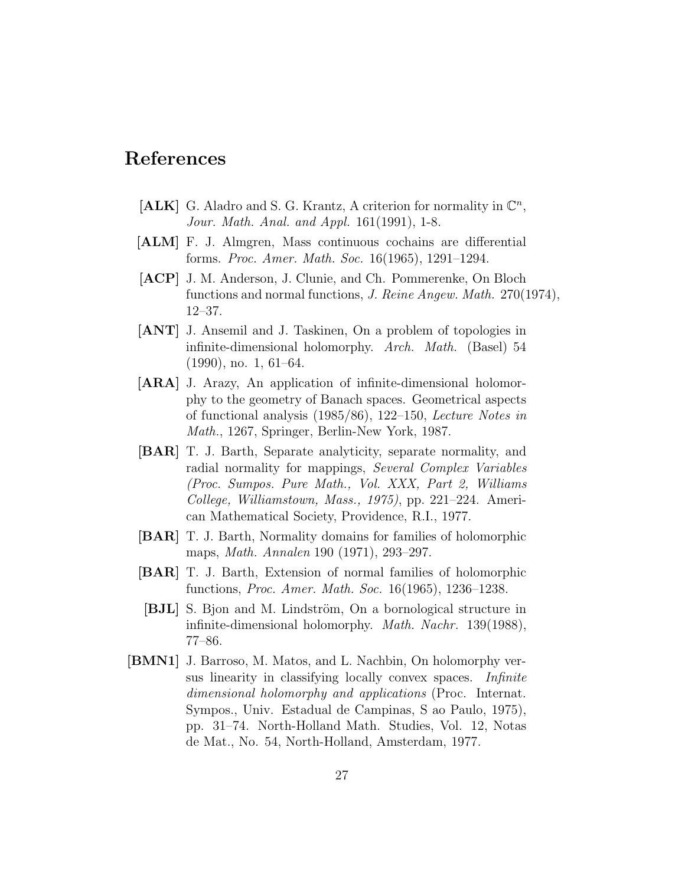# References

- [ALK] G. Aladro and S. G. Krantz, A criterion for normality in  $\mathbb{C}^n$ , Jour. Math. Anal. and Appl. 161(1991), 1-8.
- [ALM] F. J. Almgren, Mass continuous cochains are differential forms. Proc. Amer. Math. Soc. 16(1965), 1291–1294.
- [ACP] J. M. Anderson, J. Clunie, and Ch. Pommerenke, On Bloch functions and normal functions, J. Reine Angew. Math. 270(1974), 12–37.
- [ANT] J. Ansemil and J. Taskinen, On a problem of topologies in infinite-dimensional holomorphy. Arch. Math. (Basel) 54 (1990), no. 1, 61–64.
- [ARA] J. Arazy, An application of infinite-dimensional holomorphy to the geometry of Banach spaces. Geometrical aspects of functional analysis (1985/86), 122–150, Lecture Notes in Math., 1267, Springer, Berlin-New York, 1987.
- [BAR] T. J. Barth, Separate analyticity, separate normality, and radial normality for mappings, Several Complex Variables (Proc. Sumpos. Pure Math., Vol. XXX, Part 2, Williams College, Williamstown, Mass., 1975), pp. 221–224. American Mathematical Society, Providence, R.I., 1977.
- [BAR] T. J. Barth, Normality domains for families of holomorphic maps, Math. Annalen 190 (1971), 293–297.
- [BAR] T. J. Barth, Extension of normal families of holomorphic functions, Proc. Amer. Math. Soc. 16(1965), 1236–1238.
- [BJL] S. Bjon and M. Lindström, On a bornological structure in infinite-dimensional holomorphy. Math. Nachr. 139(1988), 77–86.
- [BMN1] J. Barroso, M. Matos, and L. Nachbin, On holomorphy versus linearity in classifying locally convex spaces. Infinite dimensional holomorphy and applications (Proc. Internat. Sympos., Univ. Estadual de Campinas, S ao Paulo, 1975), pp. 31–74. North-Holland Math. Studies, Vol. 12, Notas de Mat., No. 54, North-Holland, Amsterdam, 1977.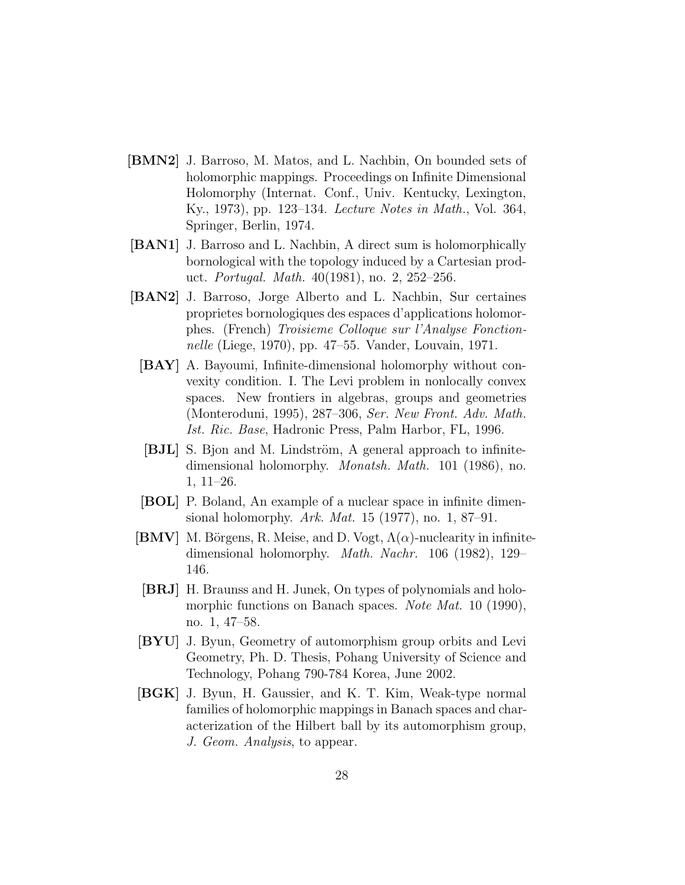- [BMN2] J. Barroso, M. Matos, and L. Nachbin, On bounded sets of holomorphic mappings. Proceedings on Infinite Dimensional Holomorphy (Internat. Conf., Univ. Kentucky, Lexington, Ky., 1973), pp. 123–134. Lecture Notes in Math., Vol. 364, Springer, Berlin, 1974.
- [BAN1] J. Barroso and L. Nachbin, A direct sum is holomorphically bornological with the topology induced by a Cartesian product. Portugal. Math. 40(1981), no. 2, 252–256.
- [BAN2] J. Barroso, Jorge Alberto and L. Nachbin, Sur certaines proprietes bornologiques des espaces d'applications holomorphes. (French) Troisieme Colloque sur l'Analyse Fonctionnelle (Liege, 1970), pp. 47–55. Vander, Louvain, 1971.
	- [BAY] A. Bayoumi, Infinite-dimensional holomorphy without convexity condition. I. The Levi problem in nonlocally convex spaces. New frontiers in algebras, groups and geometries (Monteroduni, 1995), 287–306, Ser. New Front. Adv. Math. Ist. Ric. Base, Hadronic Press, Palm Harbor, FL, 1996.
	- [BJL] S. Bjon and M. Lindström, A general approach to infinitedimensional holomorphy. *Monatsh. Math.* 101 (1986), no. 1, 11–26.
	- [BOL] P. Boland, An example of a nuclear space in infinite dimensional holomorphy. Ark. Mat. 15 (1977), no. 1, 87–91.
- [BMV] M. Börgens, R. Meise, and D. Vogt,  $\Lambda(\alpha)$ -nuclearity in infinitedimensional holomorphy. Math. Nachr. 106 (1982), 129– 146.
- [BRJ] H. Braunss and H. Junek, On types of polynomials and holomorphic functions on Banach spaces. *Note Mat.* 10 (1990), no. 1, 47–58.
- [BYU] J. Byun, Geometry of automorphism group orbits and Levi Geometry, Ph. D. Thesis, Pohang University of Science and Technology, Pohang 790-784 Korea, June 2002.
- [BGK] J. Byun, H. Gaussier, and K. T. Kim, Weak-type normal families of holomorphic mappings in Banach spaces and characterization of the Hilbert ball by its automorphism group, J. Geom. Analysis, to appear.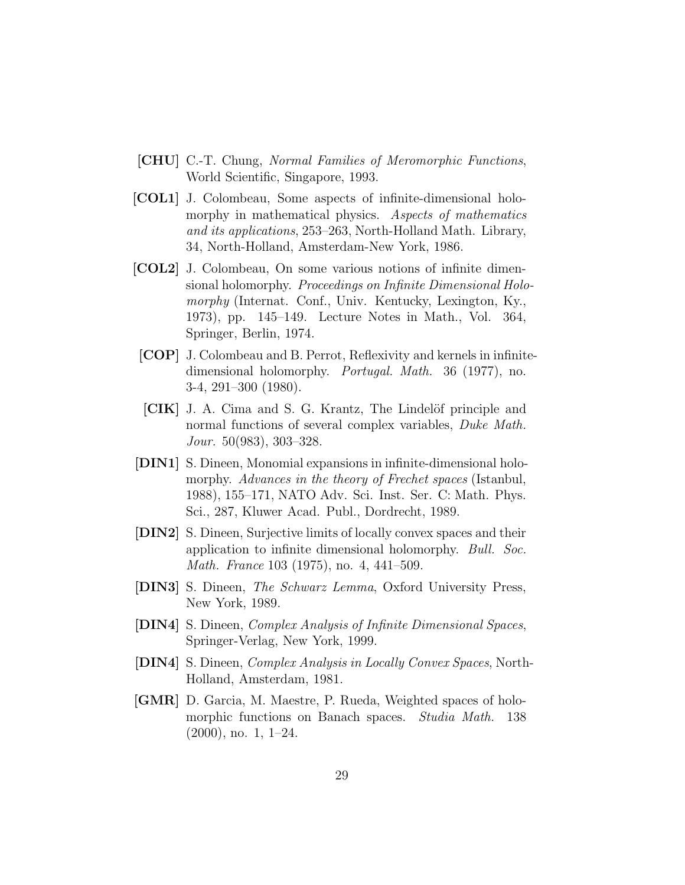- [CHU] C.-T. Chung, Normal Families of Meromorphic Functions, World Scientific, Singapore, 1993.
- [COL1] J. Colombeau, Some aspects of infinite-dimensional holomorphy in mathematical physics. Aspects of mathematics and its applications, 253–263, North-Holland Math. Library, 34, North-Holland, Amsterdam-New York, 1986.
- [COL2] J. Colombeau, On some various notions of infinite dimensional holomorphy. *Proceedings on Infinite Dimensional Holo*morphy (Internat. Conf., Univ. Kentucky, Lexington, Ky., 1973), pp. 145–149. Lecture Notes in Math., Vol. 364, Springer, Berlin, 1974.
- [COP] J. Colombeau and B. Perrot, Reflexivity and kernels in infinitedimensional holomorphy. Portugal. Math. 36 (1977), no. 3-4, 291–300 (1980).
- [CIK] J. A. Cima and S. G. Krantz, The Lindelöf principle and normal functions of several complex variables, *Duke Math.* Jour. 50(983), 303–328.
- [DIN1] S. Dineen, Monomial expansions in infinite-dimensional holomorphy. Advances in the theory of Frechet spaces (Istanbul, 1988), 155–171, NATO Adv. Sci. Inst. Ser. C: Math. Phys. Sci., 287, Kluwer Acad. Publ., Dordrecht, 1989.
- [DIN2] S. Dineen, Surjective limits of locally convex spaces and their application to infinite dimensional holomorphy. Bull. Soc. Math. France 103 (1975), no. 4, 441–509.
- [DIN3] S. Dineen, The Schwarz Lemma, Oxford University Press, New York, 1989.
- [DIN4] S. Dineen, Complex Analysis of Infinite Dimensional Spaces, Springer-Verlag, New York, 1999.
- [DIN4] S. Dineen, Complex Analysis in Locally Convex Spaces, North-Holland, Amsterdam, 1981.
- [GMR] D. Garcia, M. Maestre, P. Rueda, Weighted spaces of holomorphic functions on Banach spaces. *Studia Math.* 138 (2000), no. 1, 1–24.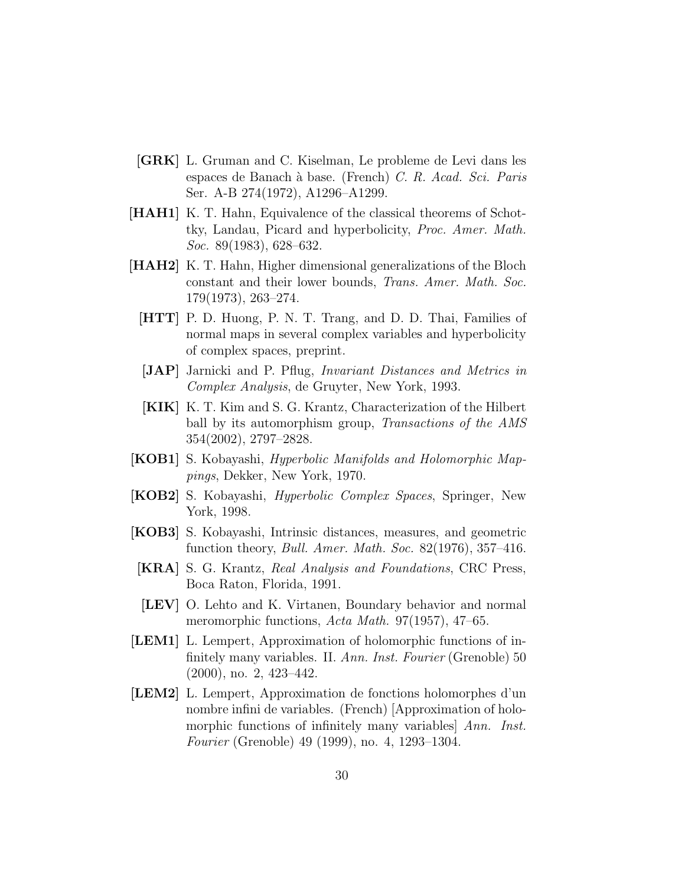- [GRK] L. Gruman and C. Kiselman, Le probleme de Levi dans les espaces de Banach `a base. (French) C. R. Acad. Sci. Paris Ser. A-B 274(1972), A1296–A1299.
- [HAH1] K. T. Hahn, Equivalence of the classical theorems of Schottky, Landau, Picard and hyperbolicity, Proc. Amer. Math. Soc. 89(1983), 628–632.
- [HAH2] K. T. Hahn, Higher dimensional generalizations of the Bloch constant and their lower bounds, Trans. Amer. Math. Soc. 179(1973), 263–274.
	- [HTT] P. D. Huong, P. N. T. Trang, and D. D. Thai, Families of normal maps in several complex variables and hyperbolicity of complex spaces, preprint.
	- [JAP] Jarnicki and P. Pflug, Invariant Distances and Metrics in Complex Analysis, de Gruyter, New York, 1993.
	- [KIK] K. T. Kim and S. G. Krantz, Characterization of the Hilbert ball by its automorphism group, Transactions of the AMS 354(2002), 2797–2828.
- [KOB1] S. Kobayashi, Hyperbolic Manifolds and Holomorphic Mappings, Dekker, New York, 1970.
- [KOB2] S. Kobayashi, Hyperbolic Complex Spaces, Springer, New York, 1998.
- [KOB3] S. Kobayashi, Intrinsic distances, measures, and geometric function theory, Bull. Amer. Math. Soc. 82(1976), 357–416.
- [KRA] S. G. Krantz, Real Analysis and Foundations, CRC Press, Boca Raton, Florida, 1991.
- [LEV] O. Lehto and K. Virtanen, Boundary behavior and normal meromorphic functions, Acta Math. 97(1957), 47–65.
- [LEM1] L. Lempert, Approximation of holomorphic functions of infinitely many variables. II. Ann. Inst. Fourier (Grenoble) 50 (2000), no. 2, 423–442.
- [LEM2] L. Lempert, Approximation de fonctions holomorphes d'un nombre infini de variables. (French) [Approximation of holomorphic functions of infinitely many variables Ann. Inst. Fourier (Grenoble) 49 (1999), no. 4, 1293–1304.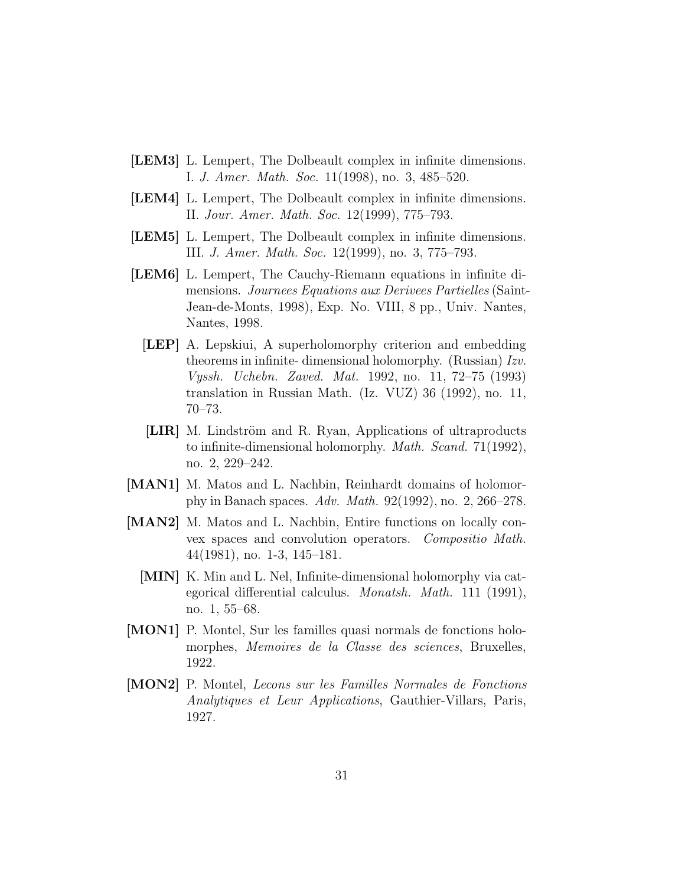- [LEM3] L. Lempert, The Dolbeault complex in infinite dimensions. I. J. Amer. Math. Soc. 11(1998), no. 3, 485–520.
- [LEM4] L. Lempert, The Dolbeault complex in infinite dimensions. II. Jour. Amer. Math. Soc. 12(1999), 775–793.
- [LEM5] L. Lempert, The Dolbeault complex in infinite dimensions. III. J. Amer. Math. Soc. 12(1999), no. 3, 775–793.
- [LEM6] L. Lempert, The Cauchy-Riemann equations in infinite dimensions. Journees Equations aux Derivees Partielles (Saint-Jean-de-Monts, 1998), Exp. No. VIII, 8 pp., Univ. Nantes, Nantes, 1998.
	- [LEP] A. Lepskiui, A superholomorphy criterion and embedding theorems in infinite- dimensional holomorphy. (Russian) Izv. Vyssh. Uchebn. Zaved. Mat. 1992, no. 11, 72–75 (1993) translation in Russian Math. (Iz. VUZ) 36 (1992), no. 11, 70–73.
	- [LIR] M. Lindström and R. Ryan, Applications of ultraproducts to infinite-dimensional holomorphy. Math. Scand. 71(1992), no. 2, 229–242.
- [MAN1] M. Matos and L. Nachbin, Reinhardt domains of holomorphy in Banach spaces. Adv. Math. 92(1992), no. 2, 266–278.
- [MAN2] M. Matos and L. Nachbin, Entire functions on locally convex spaces and convolution operators. Compositio Math. 44(1981), no. 1-3, 145–181.
	- [MIN] K. Min and L. Nel, Infinite-dimensional holomorphy via categorical differential calculus. Monatsh. Math. 111 (1991), no. 1, 55–68.
- [MON1] P. Montel, Sur les familles quasi normals de fonctions holomorphes, Memoires de la Classe des sciences, Bruxelles, 1922.
- [MON2] P. Montel, Lecons sur les Familles Normales de Fonctions Analytiques et Leur Applications, Gauthier-Villars, Paris, 1927.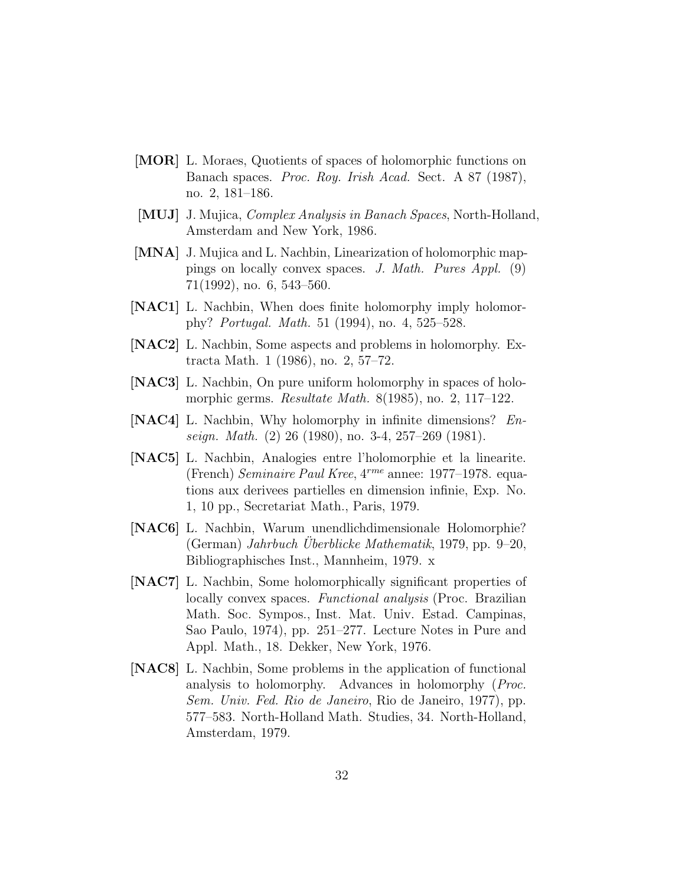- [MOR] L. Moraes, Quotients of spaces of holomorphic functions on Banach spaces. Proc. Roy. Irish Acad. Sect. A 87 (1987), no. 2, 181–186.
- [MUJ] J. Mujica, Complex Analysis in Banach Spaces, North-Holland, Amsterdam and New York, 1986.
- [MNA] J. Mujica and L. Nachbin, Linearization of holomorphic mappings on locally convex spaces. J. Math. Pures Appl. (9) 71(1992), no. 6, 543–560.
- [NAC1] L. Nachbin, When does finite holomorphy imply holomorphy? Portugal. Math. 51 (1994), no. 4, 525–528.
- [NAC2] L. Nachbin, Some aspects and problems in holomorphy. Extracta Math. 1 (1986), no. 2, 57–72.
- [NAC3] L. Nachbin, On pure uniform holomorphy in spaces of holomorphic germs. Resultate Math. 8(1985), no. 2, 117–122.
- [NAC4] L. Nachbin, Why holomorphy in infinite dimensions? Enseign. Math. (2) 26 (1980), no. 3-4, 257–269 (1981).
- [NAC5] L. Nachbin, Analogies entre l'holomorphie et la linearite. (French) Seminaire Paul Kree, 4rme annee: 1977–1978. equations aux derivees partielles en dimension infinie, Exp. No. 1, 10 pp., Secretariat Math., Paris, 1979.
- [NAC6] L. Nachbin, Warum unendlichdimensionale Holomorphie? (German) Jahrbuch Uberblicke Mathematik, 1979, pp. 9–20, Bibliographisches Inst., Mannheim, 1979. x
- [NAC7] L. Nachbin, Some holomorphically significant properties of locally convex spaces. Functional analysis (Proc. Brazilian Math. Soc. Sympos., Inst. Mat. Univ. Estad. Campinas, Sao Paulo, 1974), pp. 251–277. Lecture Notes in Pure and Appl. Math., 18. Dekker, New York, 1976.
- [NAC8] L. Nachbin, Some problems in the application of functional analysis to holomorphy. Advances in holomorphy (Proc. Sem. Univ. Fed. Rio de Janeiro, Rio de Janeiro, 1977), pp. 577–583. North-Holland Math. Studies, 34. North-Holland, Amsterdam, 1979.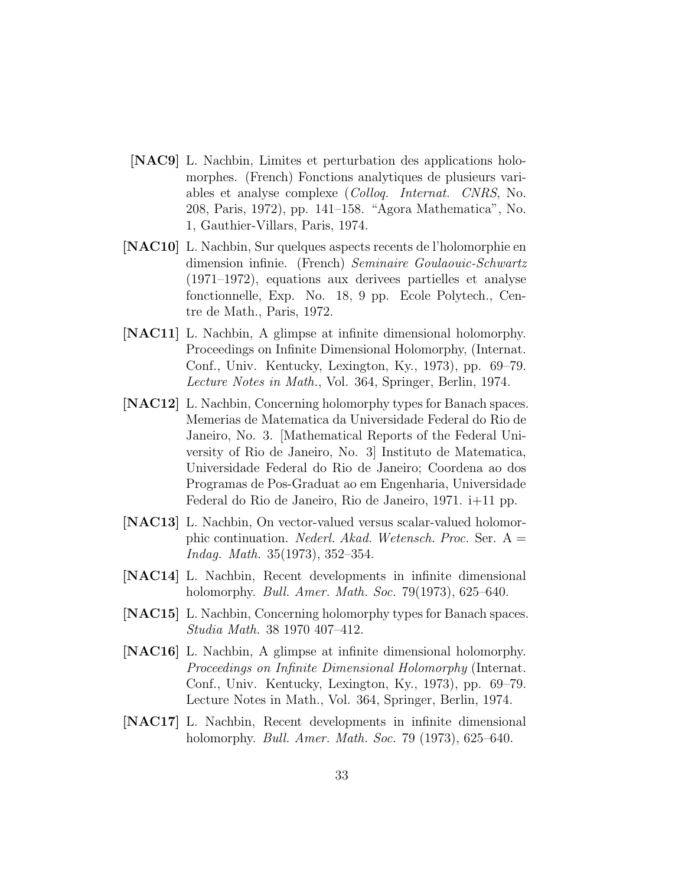- [NAC9] L. Nachbin, Limites et perturbation des applications holomorphes. (French) Fonctions analytiques de plusieurs variables et analyse complexe (Colloq. Internat. CNRS, No. 208, Paris, 1972), pp. 141–158. "Agora Mathematica", No. 1, Gauthier-Villars, Paris, 1974.
- [NAC10] L. Nachbin, Sur quelques aspects recents de l'holomorphie en dimension infinie. (French) Seminaire Goulaouic-Schwartz (1971–1972), equations aux derivees partielles et analyse fonctionnelle, Exp. No. 18, 9 pp. Ecole Polytech., Centre de Math., Paris, 1972.
- [NAC11] L. Nachbin, A glimpse at infinite dimensional holomorphy. Proceedings on Infinite Dimensional Holomorphy, (Internat. Conf., Univ. Kentucky, Lexington, Ky., 1973), pp. 69–79. Lecture Notes in Math., Vol. 364, Springer, Berlin, 1974.
- [NAC12] L. Nachbin, Concerning holomorphy types for Banach spaces. Memerias de Matematica da Universidade Federal do Rio de Janeiro, No. 3. [Mathematical Reports of the Federal University of Rio de Janeiro, No. 3] Instituto de Matematica, Universidade Federal do Rio de Janeiro; Coordena ao dos Programas de Pos-Graduat ao em Engenharia, Universidade Federal do Rio de Janeiro, Rio de Janeiro, 1971. i+11 pp.
- [NAC13] L. Nachbin, On vector-valued versus scalar-valued holomorphic continuation. *Nederl. Akad. Wetensch. Proc.* Ser.  $A =$ Indag. Math. 35(1973), 352–354.
- [NAC14] L. Nachbin, Recent developments in infinite dimensional holomorphy. Bull. Amer. Math. Soc. 79(1973), 625–640.
- [NAC15] L. Nachbin, Concerning holomorphy types for Banach spaces. Studia Math. 38 1970 407–412.
- [NAC16] L. Nachbin, A glimpse at infinite dimensional holomorphy. Proceedings on Infinite Dimensional Holomorphy (Internat. Conf., Univ. Kentucky, Lexington, Ky., 1973), pp. 69–79. Lecture Notes in Math., Vol. 364, Springer, Berlin, 1974.
- [NAC17] L. Nachbin, Recent developments in infinite dimensional holomorphy. Bull. Amer. Math. Soc. 79 (1973), 625–640.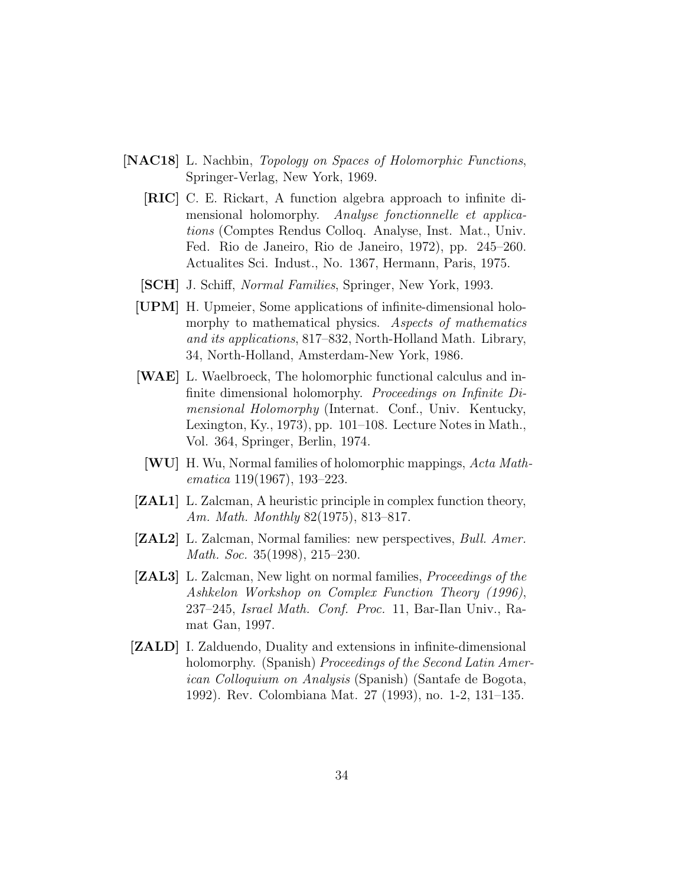- [NAC18] L. Nachbin, Topology on Spaces of Holomorphic Functions, Springer-Verlag, New York, 1969.
	- [RIC] C. E. Rickart, A function algebra approach to infinite dimensional holomorphy. Analyse fonctionnelle et applications (Comptes Rendus Colloq. Analyse, Inst. Mat., Univ. Fed. Rio de Janeiro, Rio de Janeiro, 1972), pp. 245–260. Actualites Sci. Indust., No. 1367, Hermann, Paris, 1975.
	- [SCH] J. Schiff, Normal Families, Springer, New York, 1993.
	- [UPM] H. Upmeier, Some applications of infinite-dimensional holomorphy to mathematical physics. Aspects of mathematics and its applications, 817–832, North-Holland Math. Library, 34, North-Holland, Amsterdam-New York, 1986.
	- [WAE] L. Waelbroeck, The holomorphic functional calculus and infinite dimensional holomorphy. Proceedings on Infinite Dimensional Holomorphy (Internat. Conf., Univ. Kentucky, Lexington, Ky., 1973), pp. 101–108. Lecture Notes in Math., Vol. 364, Springer, Berlin, 1974.
	- [WU] H. Wu, Normal families of holomorphic mappings, Acta Mathematica 119(1967), 193–223.
	- [ZAL1] L. Zalcman, A heuristic principle in complex function theory, Am. Math. Monthly 82(1975), 813–817.
	- **[ZAL2]** L. Zalcman, Normal families: new perspectives, *Bull. Amer.* Math. Soc. 35(1998), 215–230.
	- [ZAL3] L. Zalcman, New light on normal families, Proceedings of the Ashkelon Workshop on Complex Function Theory (1996), 237–245, Israel Math. Conf. Proc. 11, Bar-Ilan Univ., Ramat Gan, 1997.
- [ZALD] I. Zalduendo, Duality and extensions in infinite-dimensional holomorphy. (Spanish) *Proceedings of the Second Latin Amer*ican Colloquium on Analysis (Spanish) (Santafe de Bogota, 1992). Rev. Colombiana Mat. 27 (1993), no. 1-2, 131–135.